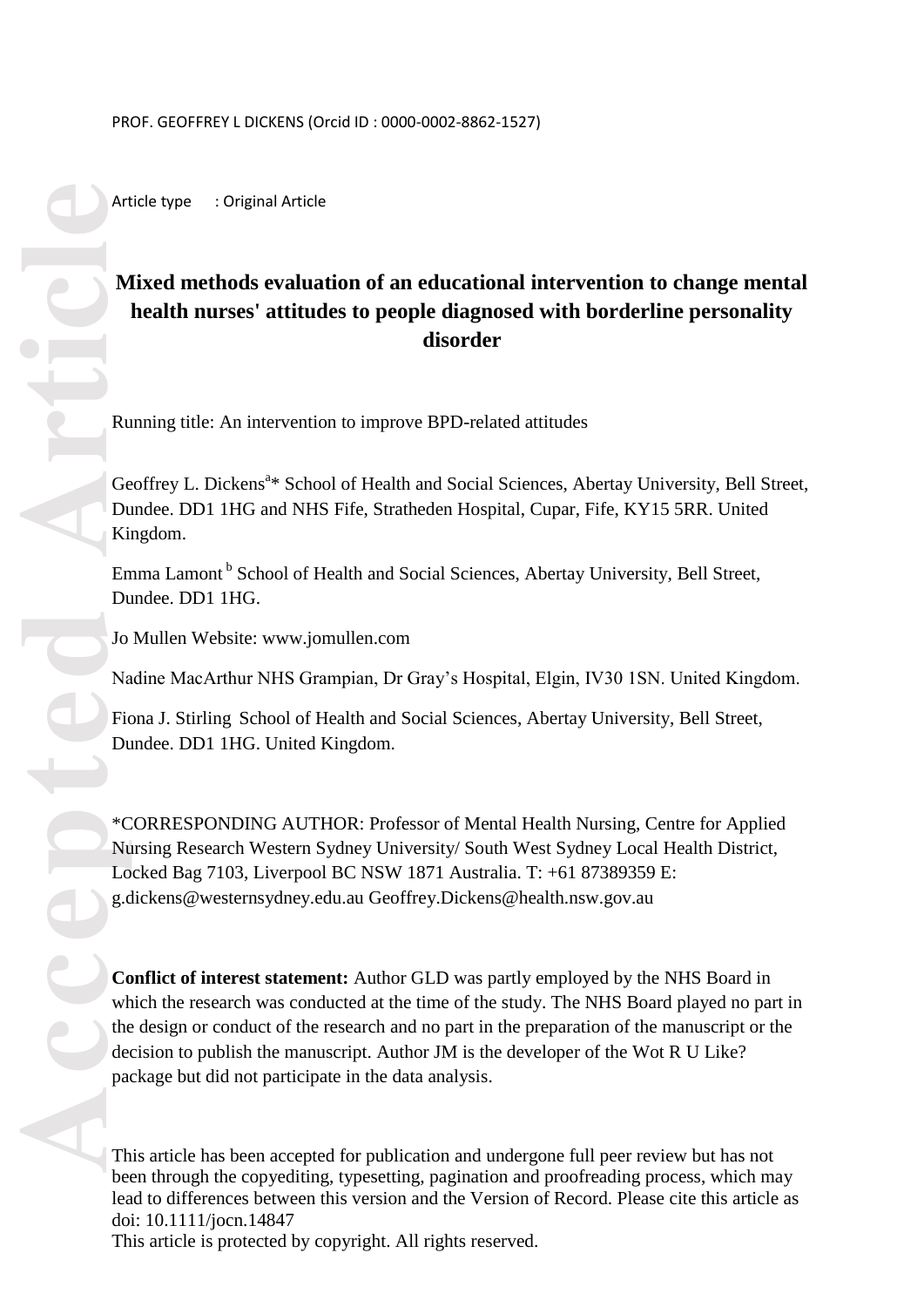PROF. GEOFFREY L DICKENS (Orcid ID : 0000 -0002 -8862 -1527)

Article type : Original Article

# **Mixed methods evaluation of an educational intervention to change mental health nurses' attitudes to people diagnosed with borderline personality disorder**

Running title: An intervention to improve BPD -related attitudes

Geoffrey L. Dickens<sup>a\*</sup> School of Health and Social Sciences, Abertay University, Bell Street, Dundee. DD1 1HG and NHS Fife, Stratheden Hospital, Cupar, Fife, KY15 5RR. United Kingdom.

Emma Lamont<sup>b</sup> School of Health and Social Sciences, Abertay University, Bell Street, Dundee. DD1 1HG.

Jo Mullen Website: www.jomullen.com

Nadine MacArthur NHS Grampian, Dr Gray's Hospital, Elgin, IV30 1SN. United Kingdom.

Fiona J. Stirling School of Health and Social Sciences, Abertay University, Bell Street, Dundee. DD1 1HG. United Kingdom.

\*CORRESPONDING AUTHOR: Professor of Mental Health Nursing, Centre for Applied Nursing Research Western Sydney University/ South West Sydney Local Health District, Locked Bag 7103, Liverpool BC NSW 1871 Australia. T: +61 87389359 E: g.dickens@westernsydney.edu.au Geoffrey.Dickens@health.nsw.gov.au

**Conflict of interest statement:** Author GLD was partly employed by the NHS Board in which the research was conducted at the time of the study. The NHS Board played no part in the design or conduct of the research and no part in the preparation of the manuscript or the decision to publish the manuscript. Author JM is the developer of the Wot R U Like? package but did not participate in the data analysis.

This article has been accepted for publication and undergone full peer review but has not been through the copyediting, typesetting, pagination and proofreading process, which may lead to differences between this version and the Version of Record. Please cite this article as doi: 10.1111/jocn.14847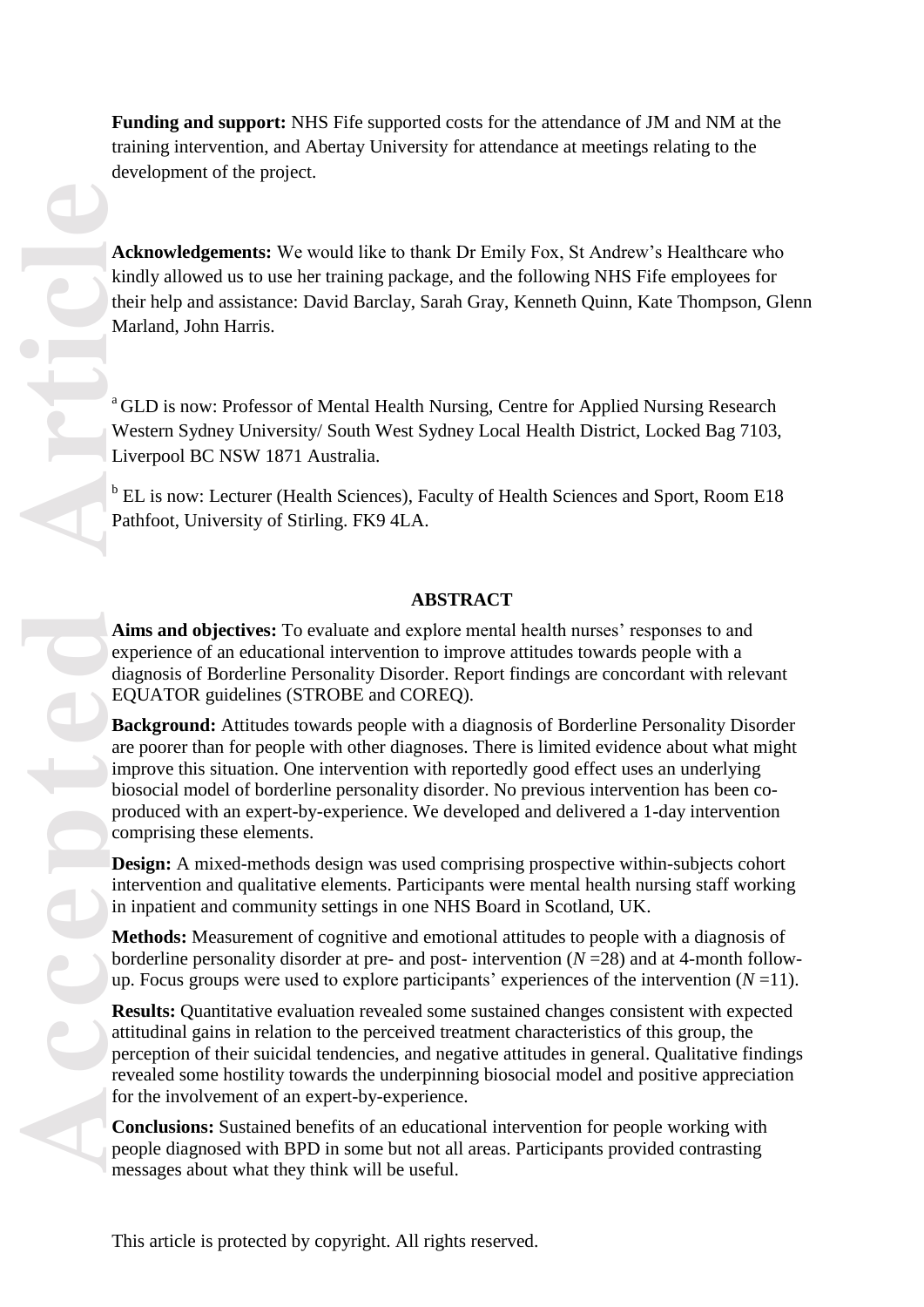**Funding and support:** NHS Fife supported costs for the attendance of JM and NM at the training intervention, and Abertay University for attendance at meetings relating to the development of the project.

**Acknowledgements:** We would like to thank Dr Emily Fox, St Andrew's Healthcare who kindly allowed us to use her training package, and the following NHS Fife employees for their help and assistance: David Barclay, Sarah Gray, Kenneth Quinn, Kate Thompson, Glenn Marland, John Harris.

<sup>a</sup>GLD is now: Professor of Mental Health Nursing, Centre for Applied Nursing Research Western Sydney University/ South West Sydney Local Health District, Locked Bag 7103, Liverpool BC NSW 1871 Australia.

<sup>b</sup> EL is now: Lecturer (Health Sciences), Faculty of Health Sciences and Sport, Room E18 Pathfoot, University of Stirling. FK9 4LA.

# **ABSTRACT**

**Aims and objectives:** To evaluate and explore mental health nurses' responses to and experience of an educational intervention to improve attitudes towards people with a diagnosis of Borderline Personality Disorder. Report findings are concordant with relevant EQUATOR guidelines (STROBE and COREQ).

Background: Attitudes towards people with a diagnosis of Borderline Personality Disorder are poorer than for people with other diagnoses. There is limited evidence about what might improve this situation. One intervention with reportedly good effect uses an underlying biosocial model of borderline personality disorder. No previous intervention has been co produced with an expert -by -experience . We developed and delivered a 1 -day intervention comprising these elements.

**Design:** A mixed-methods design was used comprising prospective within-subjects cohort intervention and qualitative elements. Participants were mental health nursing staff working in inpatient and community settings in one NHS Board in Scotland, UK .

**Methods:** Measurement of cognitive and emotional attitudes to people with a diagnosis of borderline personality disorder at pre- and post- intervention  $(N=28)$  and at 4-month followup. Focus groups were used to explore participants' experiences of the intervention  $(N=11)$ .

**Results:** Quantitative evaluation revealed some sustained changes consistent with expected attitudinal gains in relation to the perceived treatment characteristics of this group, the perception of their suicidal tendencies, and negative attitudes in general. Qualitative findings revealed some hostility towards the underpinning biosocial model and positive appreciation for the involvement of an expert-by-experience.

**Conclusions :** Sustained benefits of an educational intervention for people working with people diagnosed with BPD in some but not all areas. Participants provide d contrasting messages about what they think will be useful.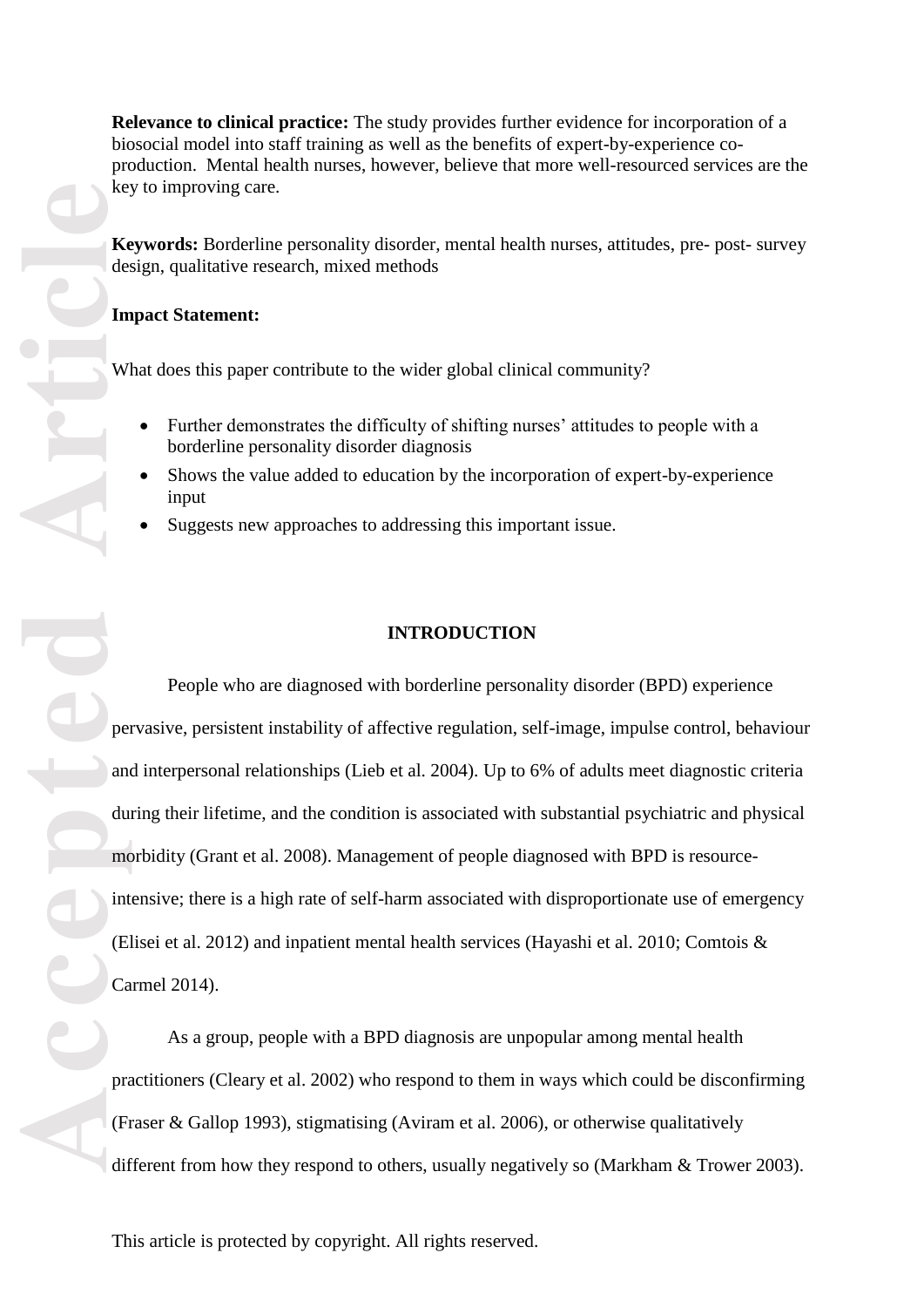**Relevance to clinical practice:** The study provides further evidence for incorporation of a biosocial model into staff training as well as the benefits of expert-by-experience coproduction. Mental health nurses, however, believe that more well -resourced services are the key to improving care.

Keywords: Borderline personality disorder, mental health nurses, attitudes, pre- post- survey design, qualitative research, mixed methods

#### **Impact Statement:**

What does this paper contribute to the wider global clinical community?

- Further demonstrates the difficulty of shifting nurses' attitudes to people with a borderline personality disorder diagnosis
- Shows the value added to education by the incorporation of expert-by-experience input
- Suggests new approaches to addressing this important issue.

#### **INTRODUCTION**

People who are diagnosed with borderline personality disorder (BPD) experience pervasive, persistent instability of affective regulation, self -image, impulse control, behaviour and interpersonal relationships (Lieb et al. 2004). Up to 6% of adults meet diagnostic criteria during their lifetime, and the condition is associated with substantial psychiatric and physical morbidity (Grant et al. 2008). Management of people diagnosed with BPD is resource intensive; there is a high rate of self-harm associated with disproportionate use of emergency (Elisei et al. 2012) and inpatient mental health services (Hayashi et al. 2010 ; Comtois & Carmel 2014).

As a group, people with a BPD diagnosis are unpopular among mental health practitioners (Cleary et al. 2002) who respond to them in ways which could be disconfirming (Fraser & Gallop 1993), stigmatising (Aviram et al. 2006), or otherwise qualitatively different from how they respond to others, usually negatively so (Markham & Trower 2003).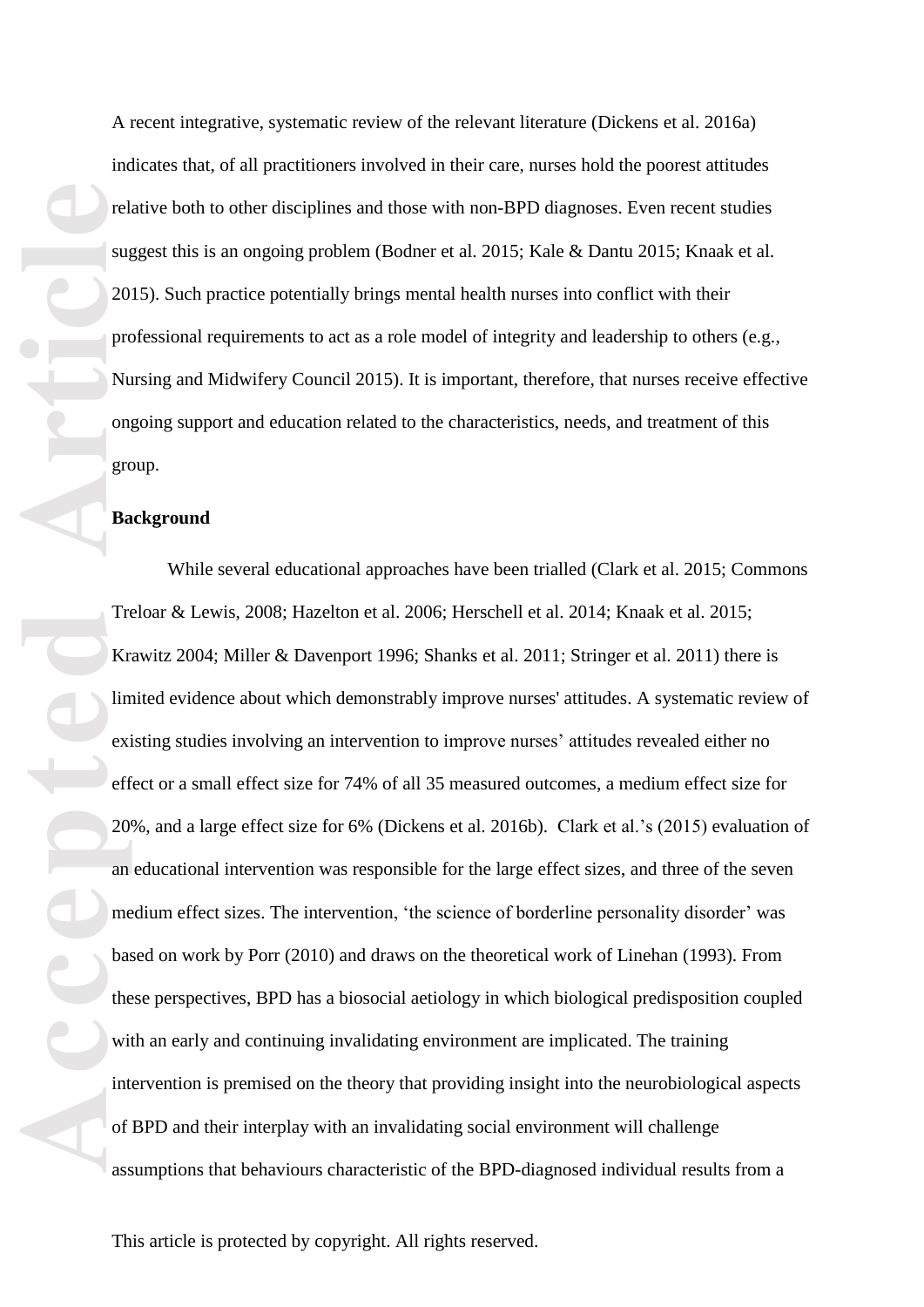A recent integrative, systematic review of the relevant literature (Dickens et al. 2016 a) indicates that, of all practitioners involved in their care, nurses hold the poorest attitudes relative both to other disciplines and those with non -BPD diagnoses. Even recent studies suggest this is an ongoing problem (Bodner et al. 2015; Kale & Dantu 2015; Knaak et al. 2015). Such practice potentially brings mental health nurse s into conflict with their professional requirements to act as a role model of integrity and leadership to others (e.g. , Nursing and Midwifery Council 2015). It is important, therefore, that nurses receive effective ongoing support and education related to the characteristics, needs, and treatment of this group.

### **Background**

Free Sung 20<br>
Property Nu on group<br>
Sung Ba<br>
Tree Ba<br>
Tree Ba<br>
Tree Ba<br>
Tree Ba<br>
eff<br>
20<br>
am me ba<br>
the wi int of<br>
wi int of While several educational approaches have been trialled (Clark et al. 2015; Commons Treloar & Lewis, 2008; Hazelton et al. 2006; Herschell et al. 2014; Knaak et al. 2015; Krawitz 2004; Miller & Davenport 1996; Shanks et al. 2011; Stringer et al. 2011 ) there is limited evidence about which demonstrably improve nurses' attitudes. A systematic review of existing studies involving an intervention to improve nurses' attitudes revealed either no effect or a small effect size for 74% of all 35 measured outcomes, a medium effect size for 20% , and a large effect size for 6% (Dickens et al. 2016 b ) . Clark et al.'s (2015) evaluation of an educational intervention was responsible for the large effect sizes, and three of the seven medium effect sizes. The intervention, 'the science of borderline personality disorder' was based on work by Porr (2010) and draws on the theoretical work of Linehan (1993). From these perspectives, BPD has a biosocial aetiology in which biological predisposition coupled with an early and continuing invalidating environment are implicated. The training intervention is premised on the theor y that providing insight into the neurobiological aspects of BPD and their interplay with an invalidating social environment will challenge assumption s that behaviours characteristic of the BPD -diagnosed individual results from a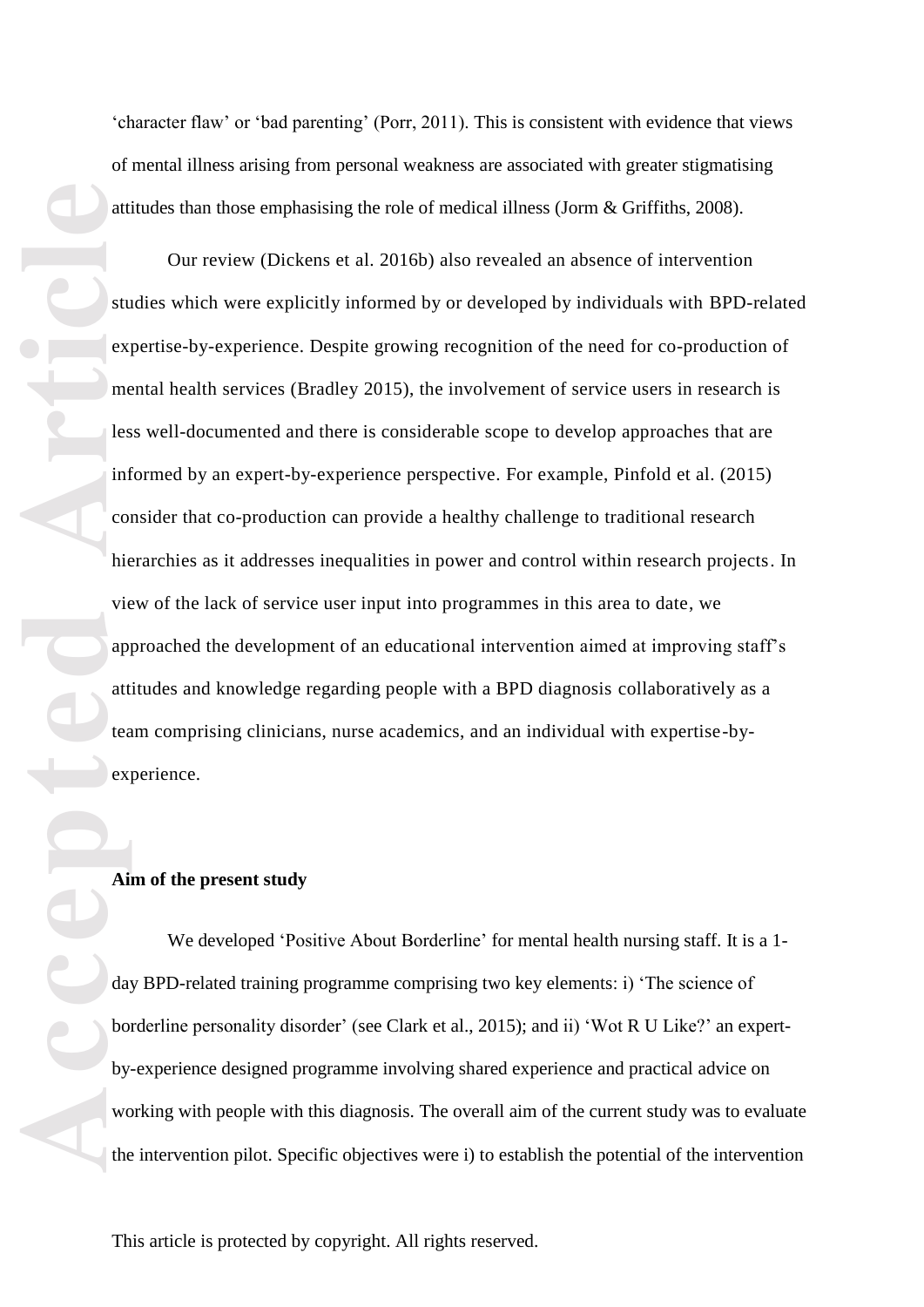'character flaw' or 'bad parenting' (Porr, 2011). This is consistent with evidence that views of mental illness arising from personal weakness are associated with greater stigmatising attitudes than those emphasising the role of medical illness (Jorm & Griffiths, 2008).

att<br>
articles<br> **Articles**<br> **Articles**<br> **Articles**<br> **Articles**<br> **Articles**<br> **Articles**<br> **Articles**<br> **Articles**<br> **Articles**<br> **Articles**<br> **Articles**<br> **Articles** Our review (Dickens et al. 2016b) also revealed an absence of intervention studies which were explicitly informed by or developed by individuals with BPD -related expertise-by-experience. Despite growing recognition of the need for co-production of mental health services (Bradley 2015), the involvement of service users in research is less well -documented and there is considerable scope to develop approaches that are informed by an expert -by -experience perspective . For example, Pinfold et al. (2015) consider that c o -production can provide a healthy challenge to traditional research hierarchies as it addresses inequalities in power and control within research projects. In view of the lack of service user input into programmes in this area to date , we approached the development of an educational intervention aimed at improving staff's attitudes and knowledge regarding people with a BPD diagnosis collaboratively as a team comprising clinicians, nurse academics, and an individual with expertise -by experience.

#### **Aim of the present study**

We developed 'Positive About Borderline' for mental health nursing staff. It is a 1day BPD -related training programme comprising two key elements: i) 'The science of borderline personality disorder' (see Clark et al., 2015); and ii) 'Wot R U Like?' an expertby -experience designed programme involving shared experience and practical advice on working with people with this diagnosis. The overall aim of the current study was to evaluate the intervention pilot. Specific objectives were i) to establish the potential of the intervention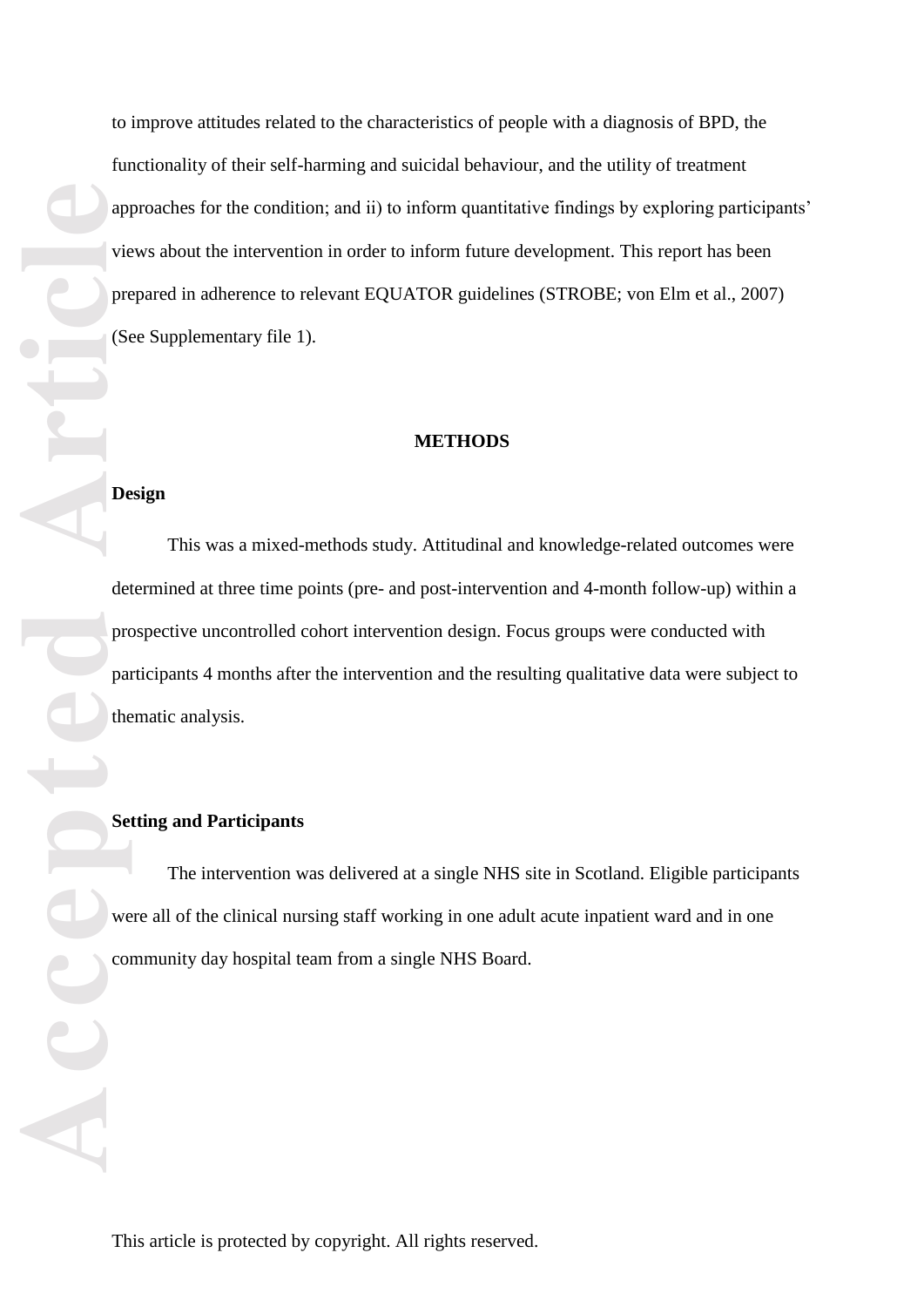**Accepted Articles Constructed Articles Constructed Articles Constructed Articles Constructed Articles Constructed Principles Constructed Articles Constructed Principles Constructed Principles Constructed Princ** to improve attitudes related to the characteristics of people with a diagnosis of BPD, the functionality of their self -harming and suicidal behaviour, and the utility of treatment approaches for the condition; and ii) to inform quantitative findings by exploring participants' views about the intervention in order to inform future development. This report has been prepared in adherence to relevant EQUATOR guidelines (STROBE; von Elm et al., 2007) (See Supplementary file 1).

#### **METHODS**

#### **Design**

This was a mixed -methods study. Attitudinal and knowledge -related outcomes were determined at three time points (pre- and post-intervention and 4-month follow-up) within a prospective uncontrolled cohort intervention design. Focus groups were conducted with participant s 4 months after the intervention and the resulting qualitative data were subject to thematic analysis.

#### **Setting and Participants**

The intervention was delivered at a single NHS site in Scotland. Eligible participants were all of the clinical nursing staff working in one adult acute inpatient ward and in one community day hospital team from a single NHS Board.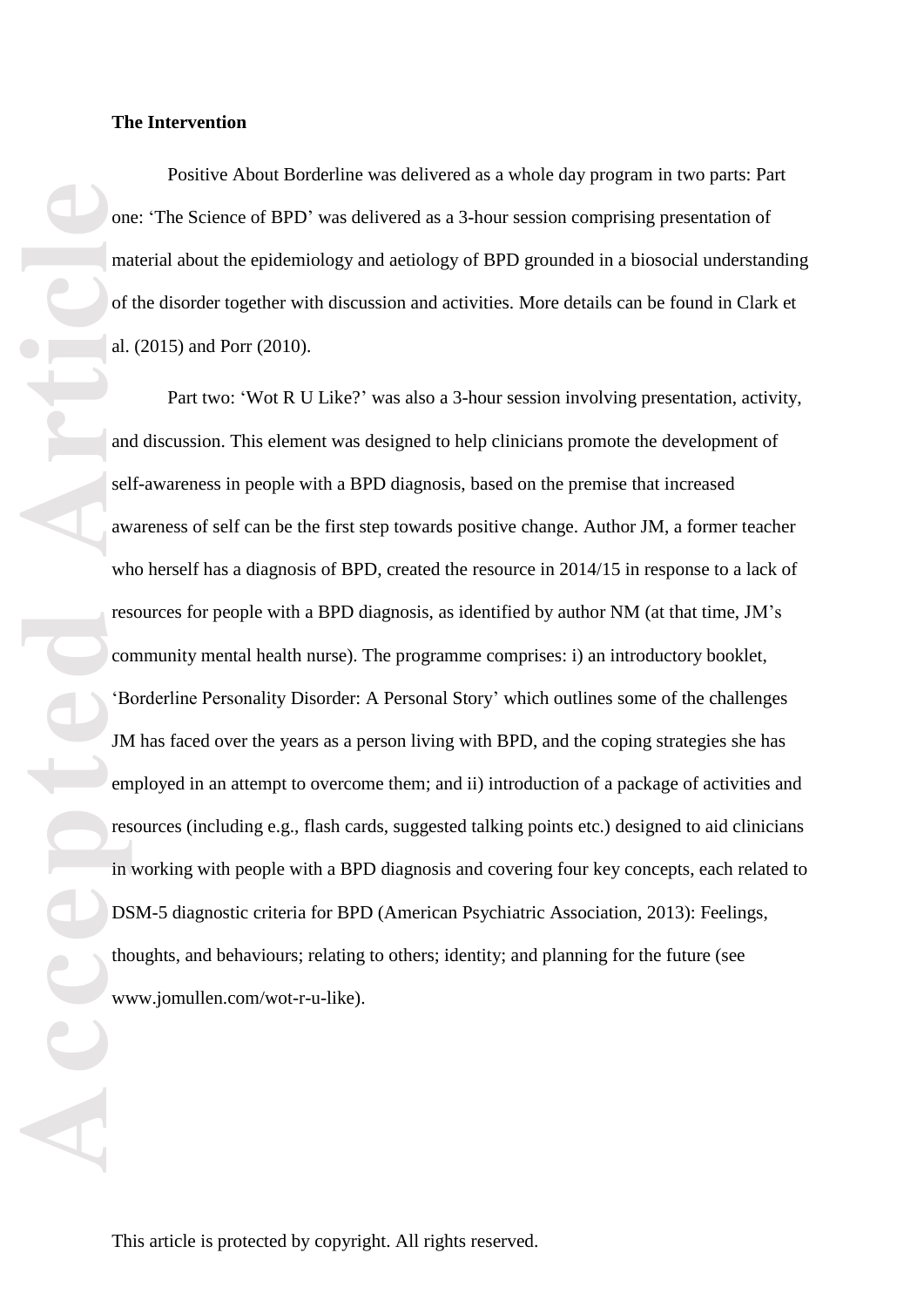Positive About Borderline was delivered as a whole day program in two parts: Part one: 'The Science of BPD ' wa s delivered as a 3 -hour session comprising presentation of material about the epidemiology and aetiology of BPD grounded in a biosocial understanding of the disorder together with discussion and activities. More details can be found in Clark et al. (2015) and Porr (2010).

**Example 19**<br> **Accepted Articles Conditions**<br> **Article**<br> **Article**<br> **Article**<br> **Article**<br> **Article**<br> **Article**<br> **Article**<br> **Article**<br> **Article**<br> **Article**<br> **Article**<br> **Article**<br> **Article**<br> **Article**<br> **Article**<br> **Article** Part two: 'Wot R U Like?' was also a 3-hour session involving presentation, activity, and discussion. This element was designed to help clinicians promote the development of self-awareness in people with a BPD diagnosis, based on the premise that increased awareness of self can be the first step towards positive change. Author JM, a former teacher who herself has a diagnosis of BPD, created the resource in 2014/15 in response to a lack of resources for people with a BPD diagnosis, as identified by author NM (at that time, JM's community mental health nurse). The programme comprises : i) an introductory booklet, 'Borderline Personality Disorder : A Personal Story ' which outlines some of the challenges JM has faced over the years as a person living with BPD, and the coping strategies she has employed in an attempt to overcome them; and ii) introduction of a package of activities and resources (including e.g., flash cards, suggested talking points etc.) designed to aid clinicians in working with people with a BPD diagnosis and covering four key concepts, each related to DSM -5 diagnostic criteria for BPD (American Psychiatric Association, 2013) : Feelings , thoughts , and behaviours; relating to others; identity; and planning for the future (see www.jomullen.com/wot-r-u-like).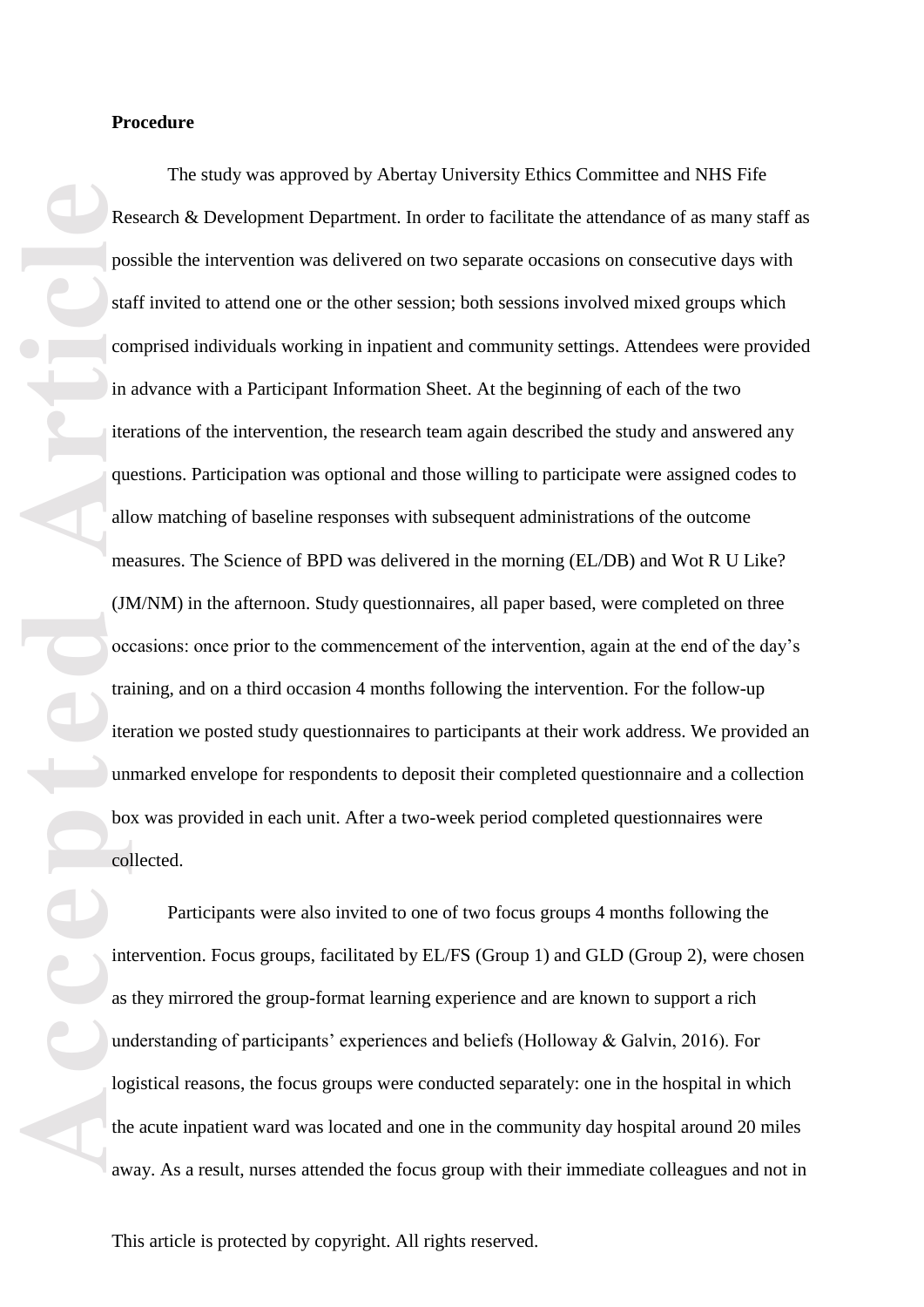**Accepted Article**<br> **Accepted**<br> **Accepted**<br> **Accepted**<br> **Accepted**<br> **Accepted**<br> **Accepted**<br> **Accepted**<br> **Accepted**<br> **Accepted**<br> **Accepted**<br> **Accepted**<br> **Accepted**<br> **Accepted**<br> **Accepted**<br> **Accepted**<br> **Accepted**<br> **Accepte** The study was approved by Abertay University Ethics Committee and NHS Fife Research & Development Department. In order to facilitate the attendance of as many staff as possible the intervention was delivered on two separate occasions on consecutive days with staff invited to attend one or the other session; both sessions involved mixed groups which comprised individuals working in inpatient and community settings . Attendees were provided in advance with a Participant Information Sheet. At the beginning of each of the two iterations of the intervention, the research team again described the study and answered any questions. Participation was optional and those willing to participate were assigned codes to allow matching of baseline responses with subsequent administrations of the outcome measures. The Science of BPD was delivered in the morning (EL/DB) and Wot R U Like? (JM/NM) in the afternoon. Study questionnaires, all paper based, were completed on three occasions: once prior to the commencement of the intervention, again at the end of the day's training, and on a third occasion 4 months following the intervention. For the follow -up iteration we posted study questionnaires to participants at their work address. We provided an unmarked envelope for respondents to deposit their completed questionnaire and a collection box was provided in each unit. After a two -week period completed questionnaires were collected.

Participants were also invited to one of two focus groups 4 months following the intervention. Focus groups, facilitated by EL/FS (Group 1) and GLD (Group 2), were chosen as they mirrored the group -format learning experience and are known to support a rich understanding of participants' experiences and beliefs (Holloway & Galvin, 2016). For logistical reasons, the focus groups were conducted separately: one in the hospital in which the acute inpatient ward was located and one in the community day hospital around 20 miles away. As a result, nurses attended the focus group with their immediate colleagues and not in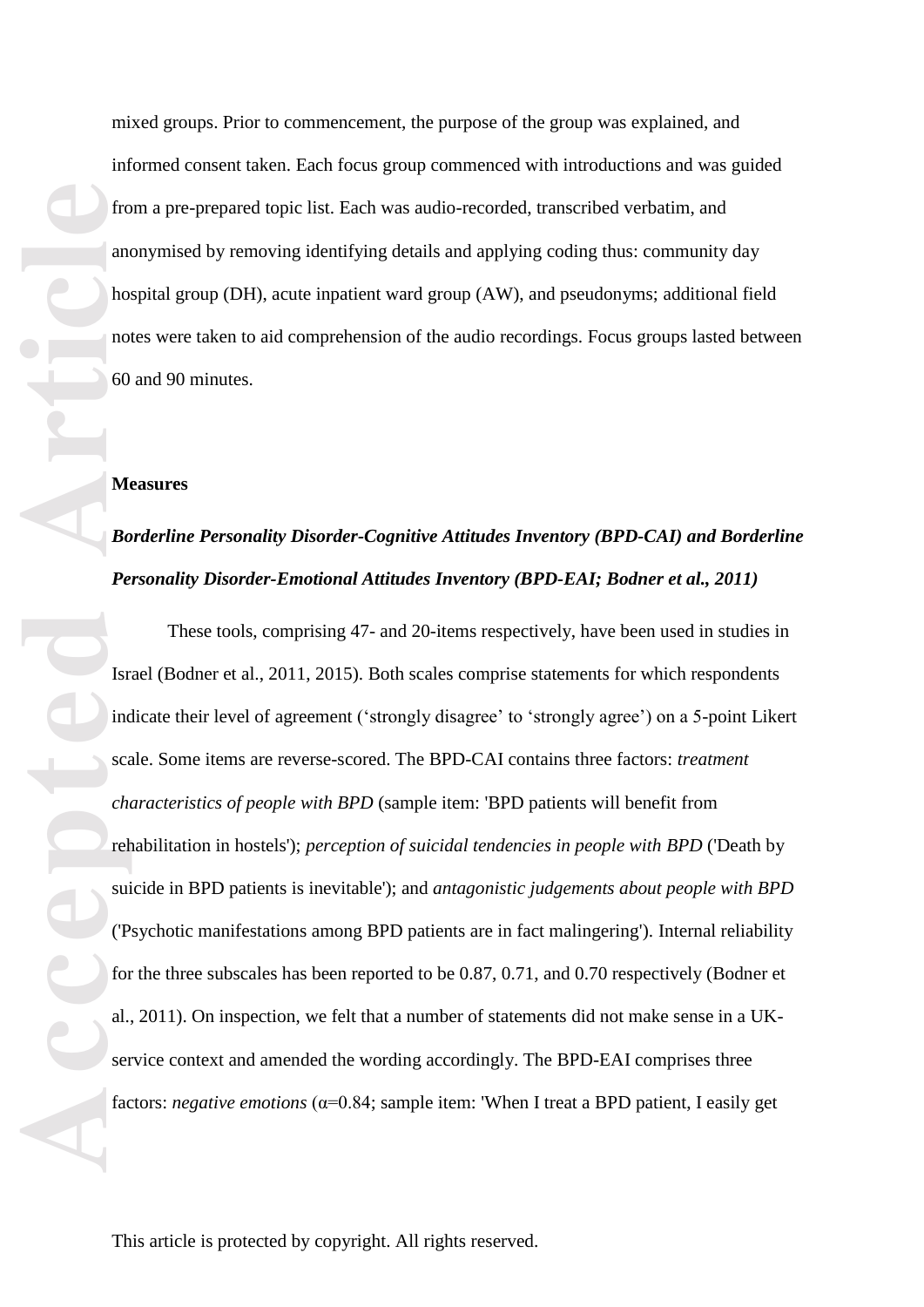mixed groups. Prior to commencement , the purpose of the group was explained, and informed consent taken. Each focus group commenced with introductions and was guided from a pre -prepared topic list. Each was audio -recorded, transcribed verbatim, and anonymised by removing identifying details and applying coding thus : community day hospital group (DH), acute inpatient ward group (AW) , and pseudonyms; additional field notes were taken to aid comprehension of the audio recordings. Focus groups lasted between 60 and 90 minutes.

#### **Measures**

# *Borderline Personality Disorder - Cognitive Attitudes Inventory (BPD -CAI) and Borderline*  Personality Disorder-Emotional Attitudes Inventory (BPD-EAI; Bodner et al., 2011)

From and **Accepted Article**<br> **Accepted Article**<br> **Article**<br> **Article**<br> **Article**<br> **Article**<br> **Article**<br> **Article**<br> **Article**<br> **Article**<br> **Article**<br> **Article**<br> **Article**<br> **Article**<br> **Article**<br> **Article**<br> **Article**<br> **Art** These tools, comprising 47 - and 20 -items respectively, have been used in studies in Israel (Bodner et al., 2011, 2015). Both scales comprise statements for which respondents indicate their level of agreement ('strongly di sagree' to 'strongly agree') on a 5 -point Likert scale. Some items are reverse -scored. The BPD -CAI contains three factors: *treatment characteristics of people with BPD* (sample item: 'BPD patients will benefit from rehabilitation in hostels'); *perception of suicidal tendencies in people with BPD* ('Death by suicide in BPD patients is inevitable'); and *antagonistic judgements about people with BPD* ('Psychotic manifestations among BPD patients are in fact malingering'). Internal reliability for the three subscales has been reported to be 0.87, 0.71, and 0.70 respectively (Bodner et al., 2011). On inspection, we felt that a number of statements did not make sense in a UK service context and amended the wording accordingly . The BPD -EAI comprises three factors: *negative emotions* (α=0.84; sample item: 'When I treat a BPD patient, I easily get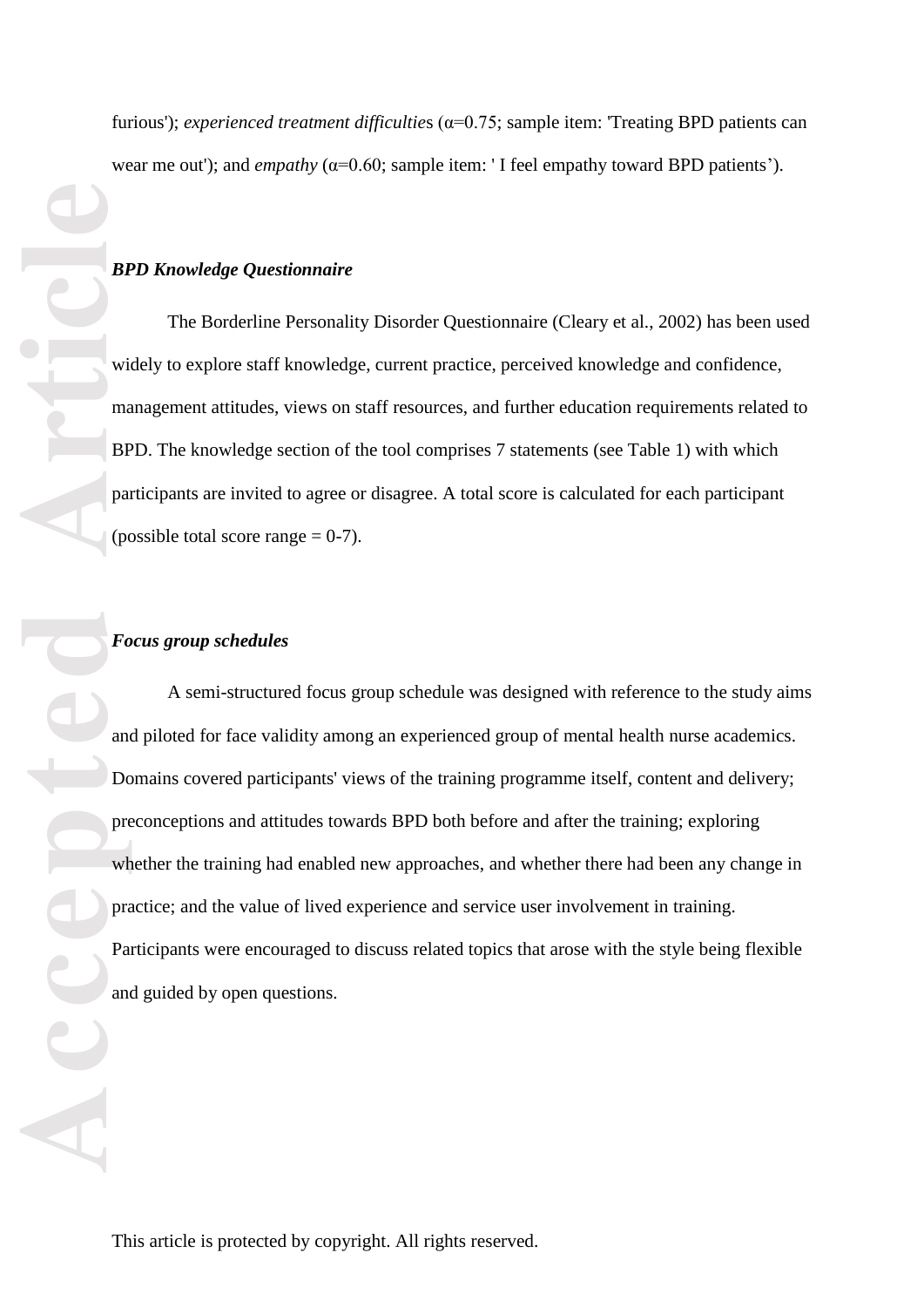furious'); *experienced treatment difficulties* (α=0.75; sample item: 'Treating BPD patients can wear me out'); and *empathy* ( $\alpha$ =0.60; sample item: 'I feel empathy toward BPD patients').

# *BPD Knowledge Questionnaire*

The Borderline Personality Disorder Questionnaire (Cleary et al., 2002) has been used widely to explore staff knowledge, current practice, perceived knowledge and confidence, management attitudes, views on staff resources, and further education requirements related to BPD. The knowledge section of the tool comprises 7 statements (see Table 1) with which participants are invited to agree or disagree. A total score is calculated for each participant (possible total score range  $= 0-7$ ).

#### *Focus group schedules*

**BE**<br> **ACCEPTED**<br> **ARTICLE**<br> **ARTICLE**<br> **ARTICLE**<br> **ARTICLE**<br> **ARTICLE**<br> **ARTICLE**<br> **ARTICLE**<br> **ARTICLE**<br> **ARTICLE**<br> **ARTICLE**<br> **ARTICLE**<br> **ARTICLE**<br> **ARTICLE** A semi -structured focus group schedule was designed with reference to the study aims and piloted for face validity among an experienced group of mental health nurse academics. Domains covered participants' views of the training programme itself, content and delivery; preconceptions and attitudes towards BPD both before and after the training; exploring whether the training had enabled new approaches , and whether there had been any change in practice; and the value of lived experience and service user involvement in training . Participants were encouraged to discuss related topics that arose with the style being flexible and guided by open questions.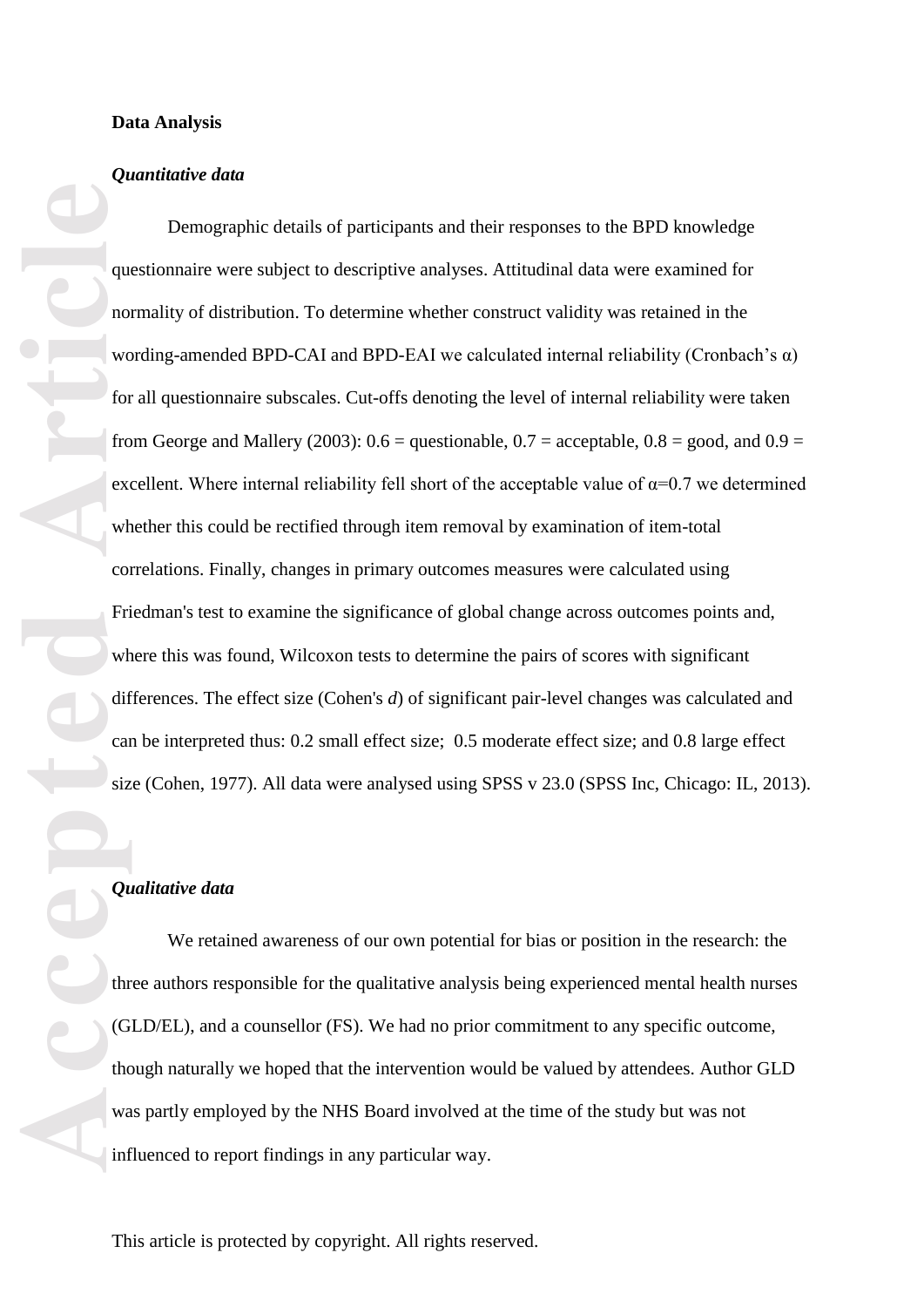#### **Data Analysis**

#### *Quantitative data*

**Accepted Article**<br> **Accepted Articles Inc.**<br> **Accepted Articles Contracts**<br> **Article**<br> **Articles Contracts**<br> **Articles Contracts**<br> **Articles Contracts**<br> **Articles Contracts** Demographic details of participants and their responses to the BPD knowledge questionnaire were subject to descriptive analyses. Attitudinal data were examined for normality of distribution. To determine whether construct validity was retained in the wording-amended BPD-CAI and BPD-EAI we calculated internal reliability (Cronbach's  $\alpha$ ) for all questionnaire subscales. Cut-offs denoting the level of internal reliability were taken from George and Mallery (2003):  $0.6$  = questionable,  $0.7$  = acceptable,  $0.8$  = good, and  $0.9$  = excellent. Where internal reliability fell short of the acceptable value of  $\alpha=0.7$  we determined whether this could be rectified through item removal by examination of item-total correlations. Finally, changes in primary outcomes measures were calculated using Friedman's test to examine the significance of global change across outcomes points and, where this was found, Wilcoxon tests to determine the pairs of scores with significant differences. The effect size (Cohen's *d*) of significant pair -level changes was calculated and can be interpreted thus: 0.2 small effect size; 0.5 moderate effect size; and 0.8 large effect size (Cohen, 1977). All data were analysed using SPSS v 23.0 (SPSS Inc, Chicago: IL, 2013).

# *Qualitative data*

We retained awareness of our own potential for bias or position in the research: the three authors responsible for the qualitative analysis being experienced mental health nurses (GLD/EL), and a counsellor (FS). We had no prior commitment to any specific outcome, though naturally we hoped that the intervention would be valued by attendees. Author G LD was partly employed by the NHS Board involved at the time of the study but was not influenced to report findings in any particular way.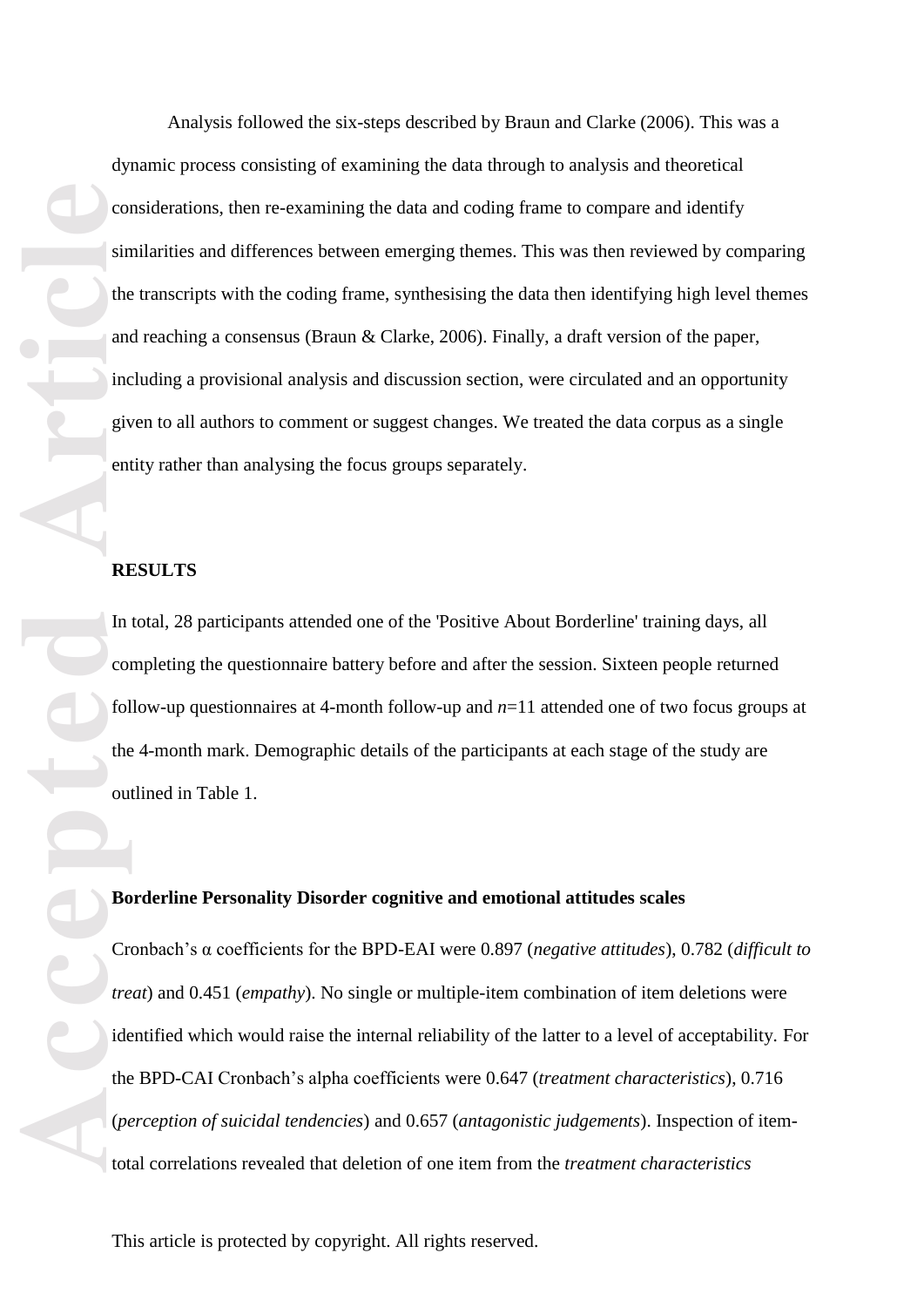Contraction of the contraction of the contraction of the contraction of the contraction of the contraction of the contraction of the contraction of the contraction of the contraction of the contraction of the contraction o Analysis followed the six-steps described by Braun and Clarke (2006)<br>dynamic process consisting of examining the data ahroogh to analysis and the<br>considerations, then re-examining the data and coding frame to compare and<br> Analysis followed the six-steps described by Braun and Clarke (2006). This was a dynamic process consisting of examining the data through to analysis and theoretical considerations, then re -examining the data and coding frame to compare and identify similarities and differences between emerging themes. This was then reviewed by comparing the transcripts with the coding frame, synthesising the data then identifying high level themes and reaching a consensus (Braun & Clarke, 2006). Finally, a draft version of the paper, including a provisional analysis and discussion section, were circulated and an opportunity given to all authors to comment or suggest changes. We treated the data corpus as a single entity rather than analysing the focus groups separately .

#### **RESULTS**

In total, 28 participants attended one of the 'Positive About Borderline' training day s, all completing the questionnaire batter y before and after the session. Sixteen people returned follow-up questionnaires at 4-month follow-up and  $n=11$  attended one of two focus groups at the 4 -month mark. Demographic details of the participants at each stage of the study are outlined in Table 1 .

#### **Borderline Personality Disorder cognitive and emotional attitudes scales**

Cronbach's α coefficients for the BPD -EAI were 0.897 (*negative attitudes*), 0.782 (*difficult to treat*) and 0.451 (*empathy*). No single or multiple -item combination of item deletions were identified which would raise the internal reliability of the latter to a level of acceptability. For the BPD -CAI Cronbach's alpha coefficients were 0.647 (*treatment characteristics*), 0.716 (*perception of suicidal tendencies*) and 0.657 (*antagonistic judgements*). Inspection of item total correlations revealed that deletion of one item from the *treatment characteristics*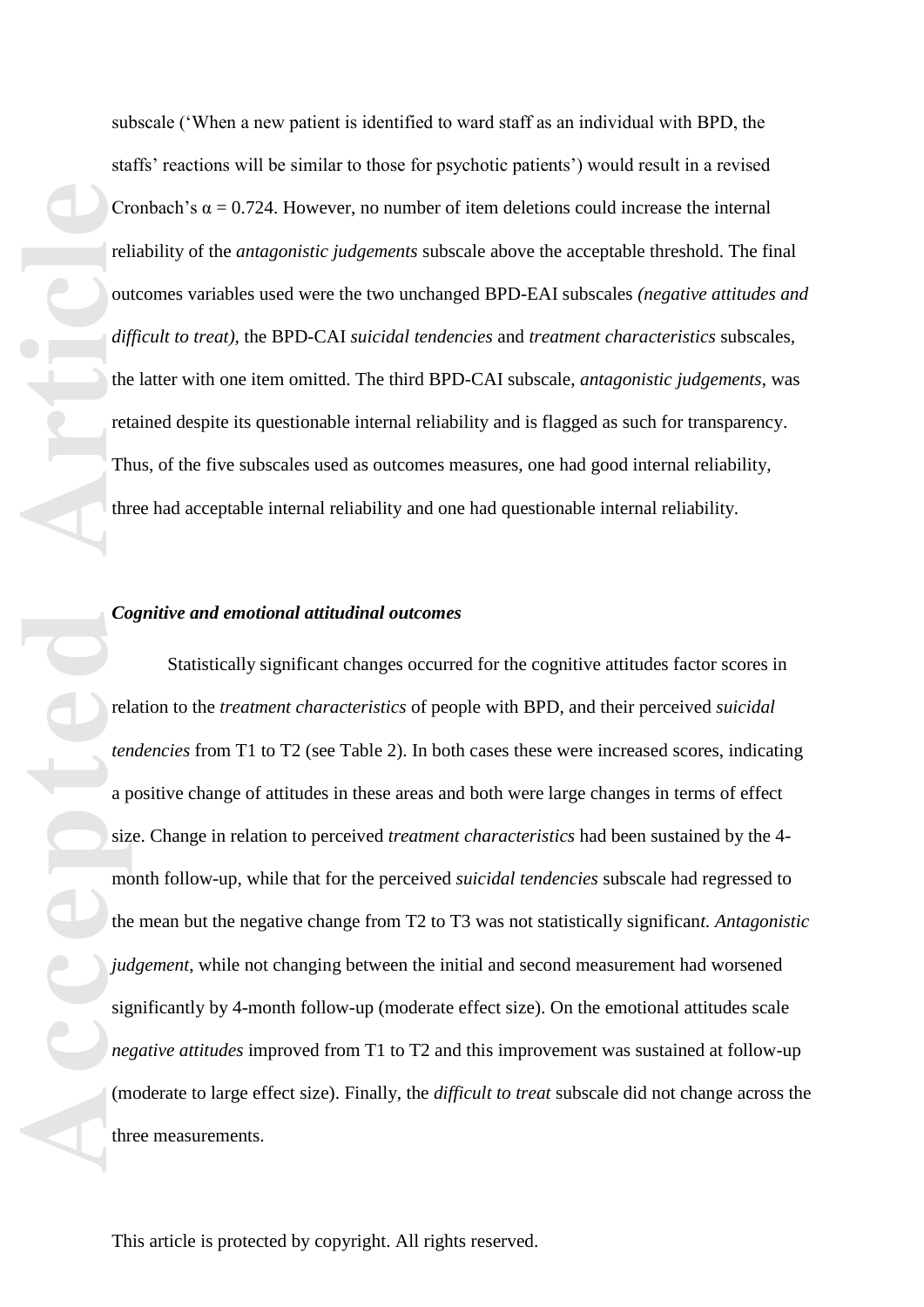subscale ('When a new patient is identified to ward staff as an individual with BPD, the staffs' reactions will be similar to those for psychotic patients') would result in a revised Cronbach's  $\alpha = 0.724$ . However, no number of item deletions could increase the internal reliability of the *antagonistic judgements* subscale above the acceptable threshold. The final outcome s variables used were the two unchanged BPD -EAI subscales *(negative attitudes and difficult to treat ) ,* the BPD -CAI *suicidal tendencies* and *treatment characteristics* subscales, the latter with one item omitted. The third BPD - CAI subscale, *antagonistic judgements*, was retained despite its questionable internal reliability and is flagged as such for transparency. Thus, of the five subscales used as outcomes measures, one had good internal reliability, three had acceptable internal reliability and one had questionable internal reliability.

#### *Cognitive and emotional attitudinal outcomes*

Creation Creation Creation Creation Creation Creation Creation Creation Creation Creation Creation Creation Creation Creation Creation Creation Creation Creation Creation Creation Creation Creation Creation Creation Creati Statistically significant changes occurred for the cognitive attitudes factor scores in relation to the *treatment characteristics* of people with BPD, and their perceived *suicidal tendencies* from T1 to T2 (see Table 2). In both cases these were increased scores , indicating a positive change of attitudes in these areas and both were large changes in terms of effect size. Change in relation to perceived *treatment characteristics* had been sustained by the 4 month follow -up, while that for the perceived *suicidal tendencies* subscale had regressed to the mean but the negative change from T2 to T3 was not statistically significan *t. Antagonistic judgement*, while not changing between the initial and second measurement had worsened significantly by 4-month follow-up (moderate effect size). On the emotional attitudes scale *negative attitudes* improved from T1 to T2 and this improvement was sustained at follow -up (moderate to large effect size). Finally, the *difficult to treat* subscale did not change across the three measurements.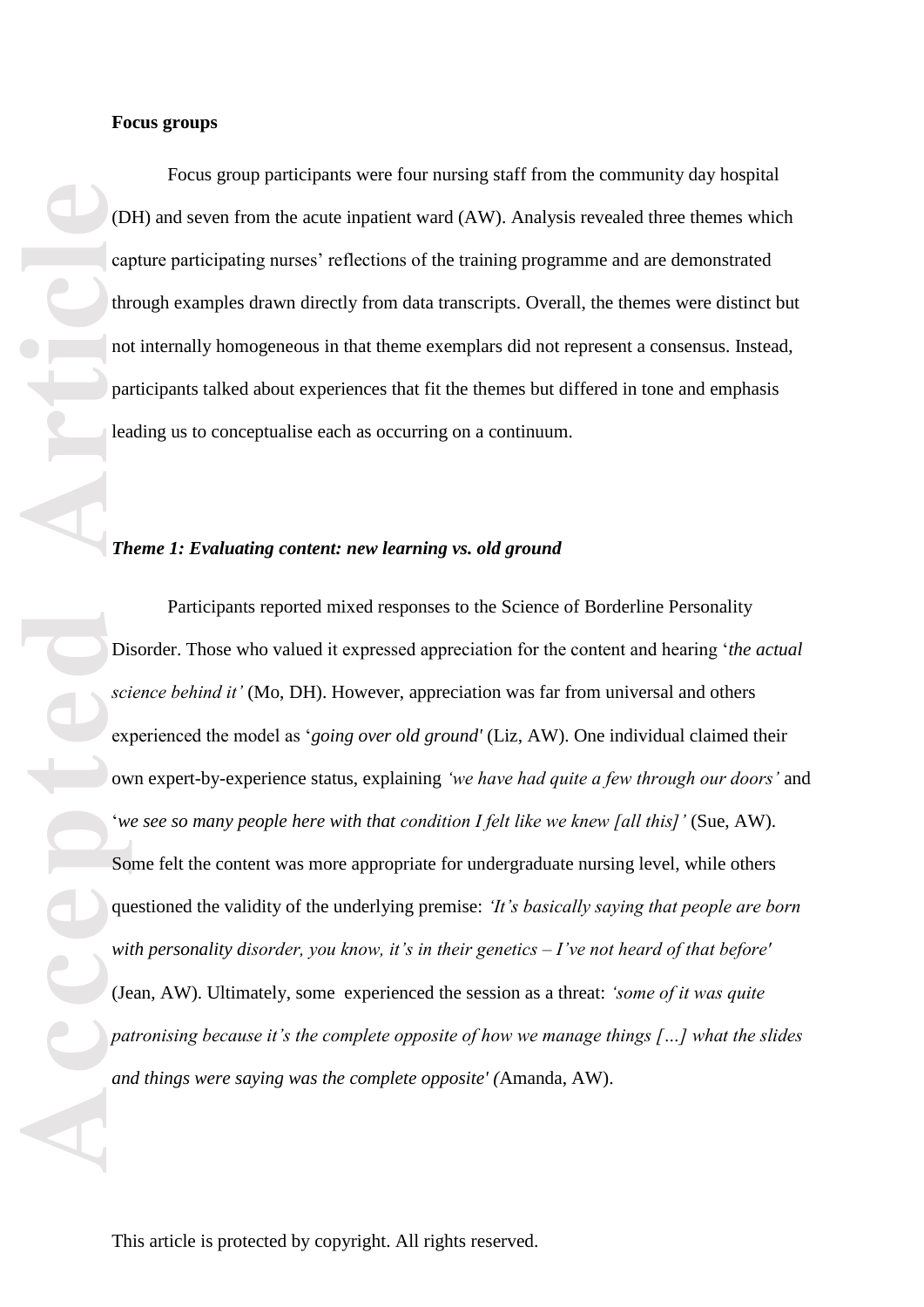Focus group participants were four nursing staff from the community day hospital (DH) and seven from the acute inpatient ward (AW) . Analysis revealed three themes which capture participating nurses' reflections o f the training programme and are demonstrated through examples drawn directly from data transcripts. Overall, the themes were distinct but not internally homogeneous in that theme exemplars did not represent a consensus. Instead, participants talked about experiences that fit the themes but differed in tone and emphasis leading us to conceptualise each as occurring on a continuum .

## *Theme 1: Evaluating content: new learning vs. old ground*

**C**<br> **Accepted Article**<br> **Article**<br> **Article**<br> **Article**<br> **Article**<br> **Article**<br> **Article**<br> **Article**<br> **Article**<br> **Article**<br> **Article**<br> **Article**<br> **Article**<br> **Article**<br> **Article**<br> **Article**<br> **Article**<br> **Article**<br> **Article** Participants reported mixed responses to the Science of Borderline Personality Disorder. Those who valued it expressed appreciation for the content and hearing '*the actual science behind it'*  (Mo, DH). However, appreciation was far from universal and others experienced the model as '*going over old ground'*  (Liz, AW). One individual claimed their own expert -by -experience status, explaining *'we have had quite a few through our doors'* and '*we see so many people here with that condition I felt like we knew [all this]'* (Sue, AW). Some felt the content was more appropriate for undergraduate nursing level, while others questioned the validity of the underlying premise: *'It's basically saying that people are born with personality disorder, you know, it's in their genetics – I've not heard of that before'* (Jean, AW). Ultimately, some experienced the session as a threat: *'some of it was quite patronising because it's the complete opposite of how we manage things […] what the slides and things were saying was the complete opposite' (*Amanda, AW).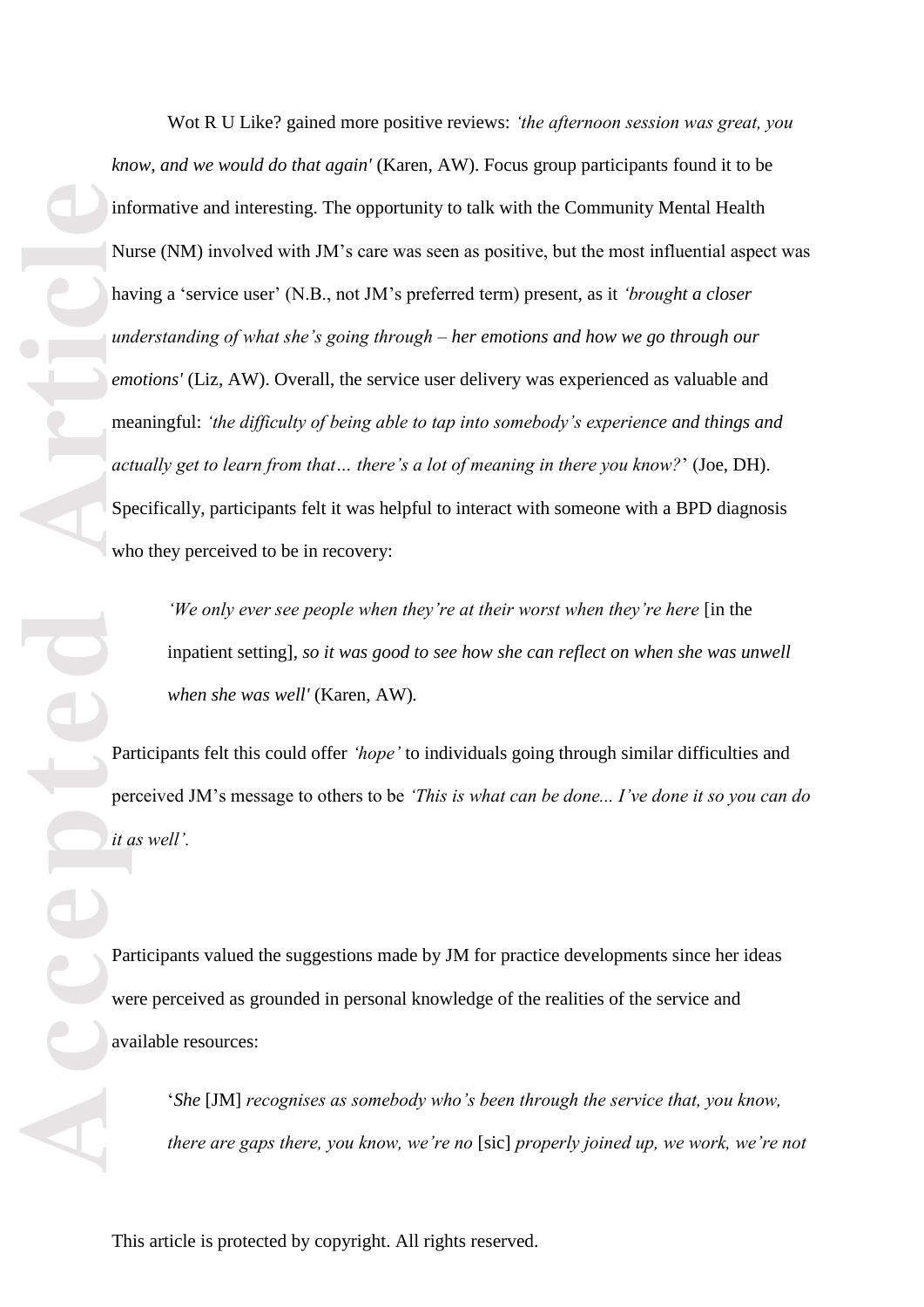**Accepted Articles Inc.**<br> **Accepted Articles Inc.**<br> **Accepted Articles Inc.**<br> **Articles Inc.**<br> **Paccepted Articles Articles Articles Articles Articles Articles Articles Articles Articles Articles** Wot R U Like? gained more positive reviews: *'the afternoon session was great, you know, and we would do that again'*  (Karen, AW). Focus group participants found it to be informative and interesting. The opportunity to talk with the Community Mental Health Nurse (NM) involved with JM's care was seen as positive, but the most influential aspect was having a 'service user' (N.B., not JM's preferred term) present, as it *'brought a closer understanding of what she's going through – her emotions and how we go through our*  emotions' (Liz, AW). Overall, the service user delivery was experienced as valuable and meaningful: *'the difficulty of being able to tap into somebody's experience and things and actually get to learn from that… there's a lot of meaning in there you know?*' (Joe, DH). Specifically, participants felt it was helpful to interact with someone with a BPD diagnosis who they perceived to be in recovery :

*'We only ever see people when they're at their worst when they're here* [in the inpatient setting]*, so it was good to see how she can reflect on when she was unwell when she was well'*  (Karen, AW) *.*

Participants felt this could offer *'hope'* to individuals going through similar difficulties and perceived JM's message to others to be *'This is what can be done... I've done it so you can do it as well'.*

Participants valued the suggestions made by JM for practice developments since her ideas wer e perceived as grounded in personal knowledge of the realities of the service and available resources:

'*She* [JM] *recognises as somebody who's been through the service that, you know, there are gaps there, you know, we're no* [sic] *properly joined up, we work, we're not*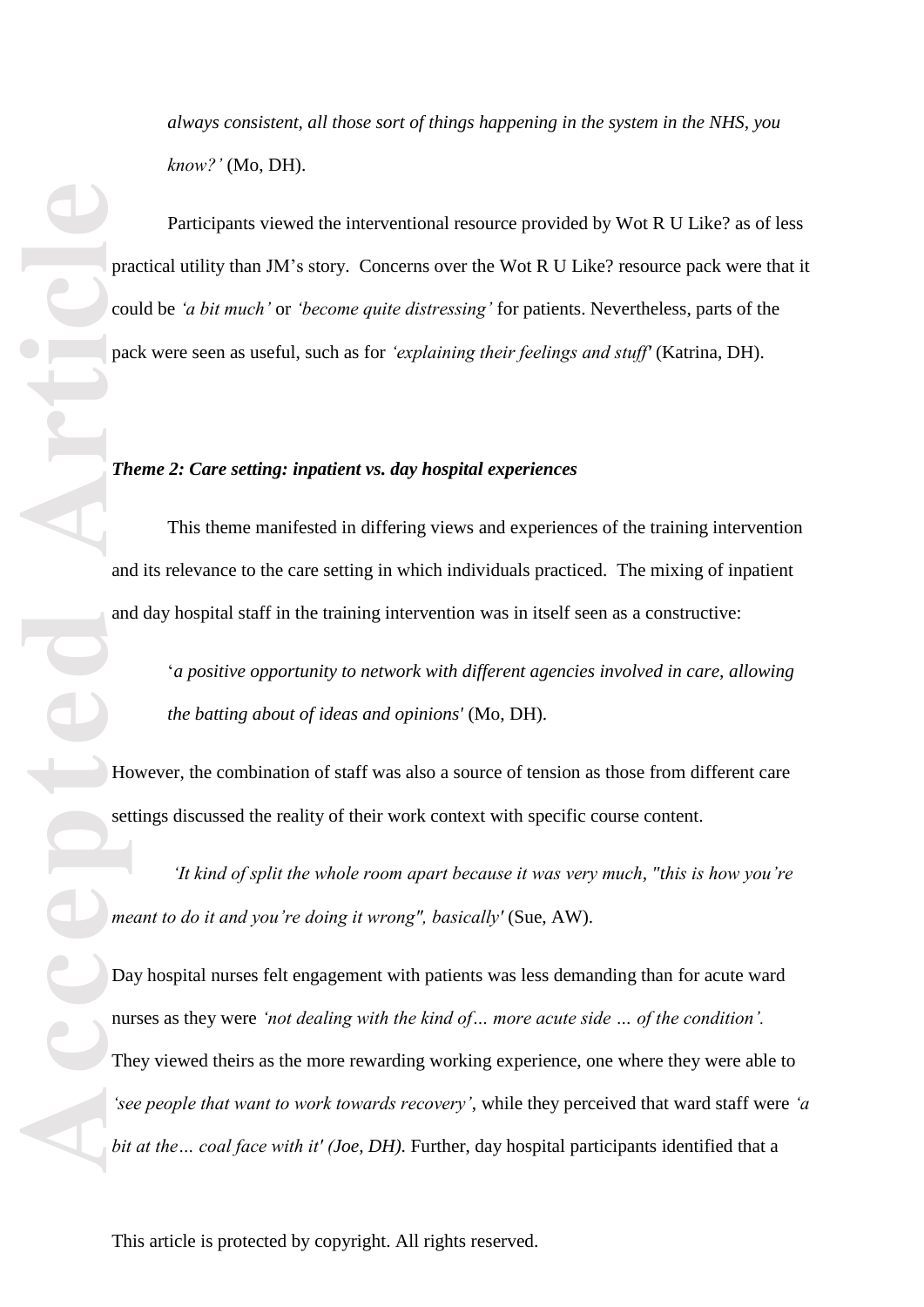*always consistent, all those sort of things happening in the system in the NHS, you know?'*  (Mo, DH).

Participants viewed the interventional resource provided by Wot R U Like? as of less practical utility than JM's story. Concerns over the Wot R U Like? resource pack were that it could be *'a bit much'* or *'become quite distressing'* for patients. Nevertheless, parts of the pack were seen as useful, such as for *'explaining their feelings and stuff'*  (Katrina, DH).

### *Theme 2: Care setting: inpatient vs. day hospital experiences*

This theme manifested in differing views and experiences of the training intervention and its relevance to the care setting in which individuals practiced. The mixing of inpatient and day hospital staff in the training intervention was in itself seen as a constructive:

'*a positive opportunity to network with different agencies involved in care, allowing the batting about of ideas and opinions'* (Mo, DH).

However, the combination of staff was also a source of tension as those from different care setting s discussed the reality of their work context with specific course content.

*'It kind of split the whole room apart because it was very much, "this is how you're* meant to do it and you're doing it wrong", basically' (Sue, AW).

Day hospital nurses felt engagement with patients was less demanding than for acute ward nurses as they were *'not dealing with the kind of… more acute side … of the condition'.* They viewed theirs as the more rewarding working experience, one where they were able to *'see people that want to work towards recovery'*, while they perceived that ward staff were *'a bit at the… coal face with it' (Joe, DH).* Further, day hospital participants identified that a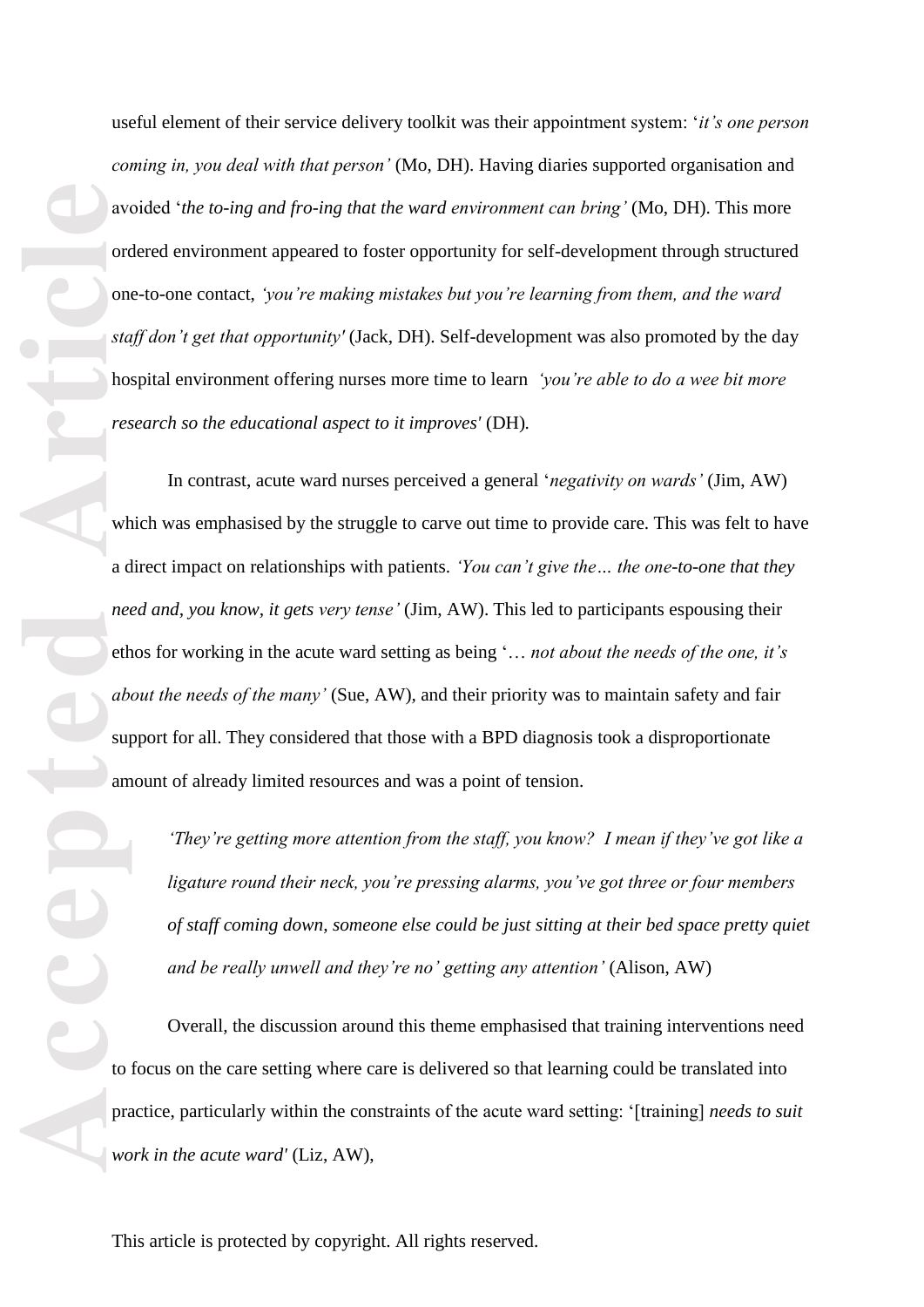useful element of their service delivery toolkit was their appointment system: '*it's one person coming in, you deal with that person'* (Mo, DH). Having diaries supported organisation and avoided '*the to -ing and fro -ing that the ward environment can bring'* (Mo, DH). This more ordered environment appeared to foster opportunity for self-development through structured one -to -one contact, *'you're making mistakes but you're learning from them, and the ward staff don't get that opportunity'*  (Jack, DH). Self-development was also promoted by the day hospital environment offering nurse s more time to learn *'you're able to do a wee bit more research so the educational aspect to it improves'* (DH) *.*

ave and the stage of the stage of the stage of the stage of the stage of the stage of the stage of the stage of the stage of the stage of the practice of the practice of the practice of the practice of the practice of the In contrast, acute ward nurses perceived a general '*negativity on wards'* (Jim, AW) which was emphasised by the struggle to carve out time to provide care. This was felt to have a direct impact on relationships with patients. *'You can't give the… the one -to -one that they need and, you know, it gets very tense'*  (Jim, AW). This led to participants espousing their ethos for working in the acute ward setting as being '… *not about the needs of the one, it's about the needs of the many'* (Sue, AW) *,* and their priority was to maintain safety and fair support for all. They considered that those with a BPD diagnosis took a disproportionate amount of already limited resources and was a point of tension.

*'They're getting more attention from the staff, you know? I mean if they've got like a ligature round their neck, you're pressing alarms, you've got three or four members of staff coming down, someone else could be just sitting at their bed space pretty quiet and be really unwell and they're no' getting any attention'*  (Alison, AW)

Overall, the discussion around this theme emphasised that training interventions need to focus on the care setting where care is delivered so that learning could be translated into practice, particularly within the constraints of the acute ward setting: '[training] *needs to suit work in the acute ward'* (Liz, AW),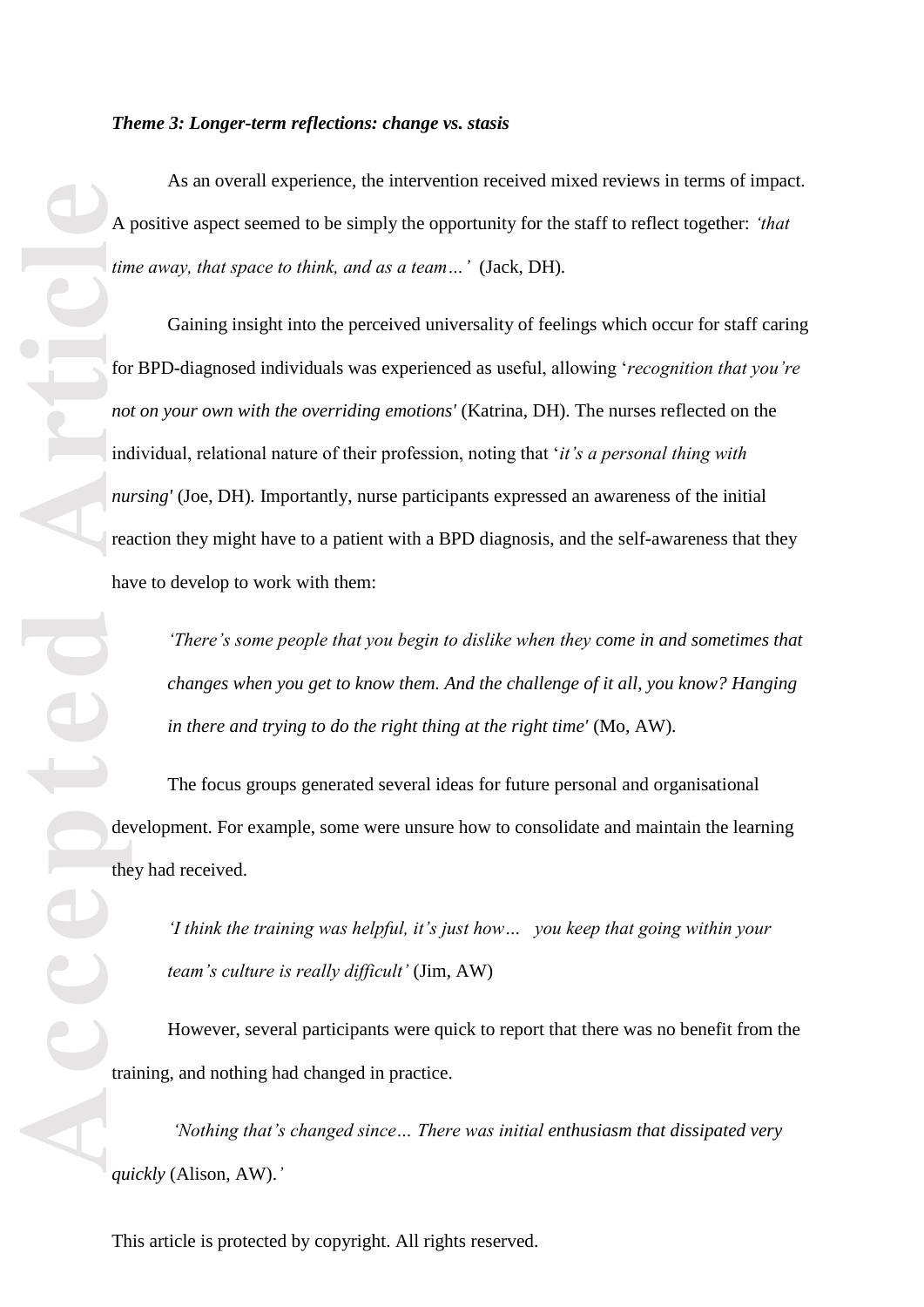As an overall experience, the intervention received mixed reviews in terms of impact. A positive aspect seemed to be simply the opportunity for the staff to reflect together: *'that time away, that space to think, and as a team…'*  (Jack, DH) *.*

**Accepted Article**<br> **Article**<br> **Article**<br> **Article**<br> **Article**<br> **Article**<br> **Article**<br> **Article**<br> **Article**<br> **Article**<br> **Article**<br> **Article**<br> **Article**<br> **Article**<br> **Article**<br> **Article**<br> **Article** Gaining insight into the perceived universality of feelings which occur for staff caring for BP D -diagnosed individuals was experienced as useful, allowing '*recognition that you're not on your own with the overriding emotions'*  (Katrina, DH). The nurses reflected on the individual, relational nature of their profession, noting that '*it's a personal thing with*  nursing' (Joe, DH). Importantly, nurse participants expressed an awareness of the initial reaction they might have to a patient with a BPD diagnosis, and the self-awareness that they have to develop to work with them:

*'There's some people that you begin to dislike when they come in and sometimes that changes when you get to know them. And the challenge of it all, you know? Hanging in there and trying to do the right thing at the right time'* (Mo, AW) *.*

The focus groups generated several ideas for future personal and organisational development. For example, some were unsure how to consolidate and maintain the learning they had received.

*'I think the training was helpful, it's just how… you keep that going within your team's culture is really difficult'*  (Jim, AW)

However, several participants were quick to report that there was no benefit from the training, and nothing had changed in practice .

*'Nothing that's changed since… There was initial enthusiasm that dissipated very quickly* (Alison, AW).*'*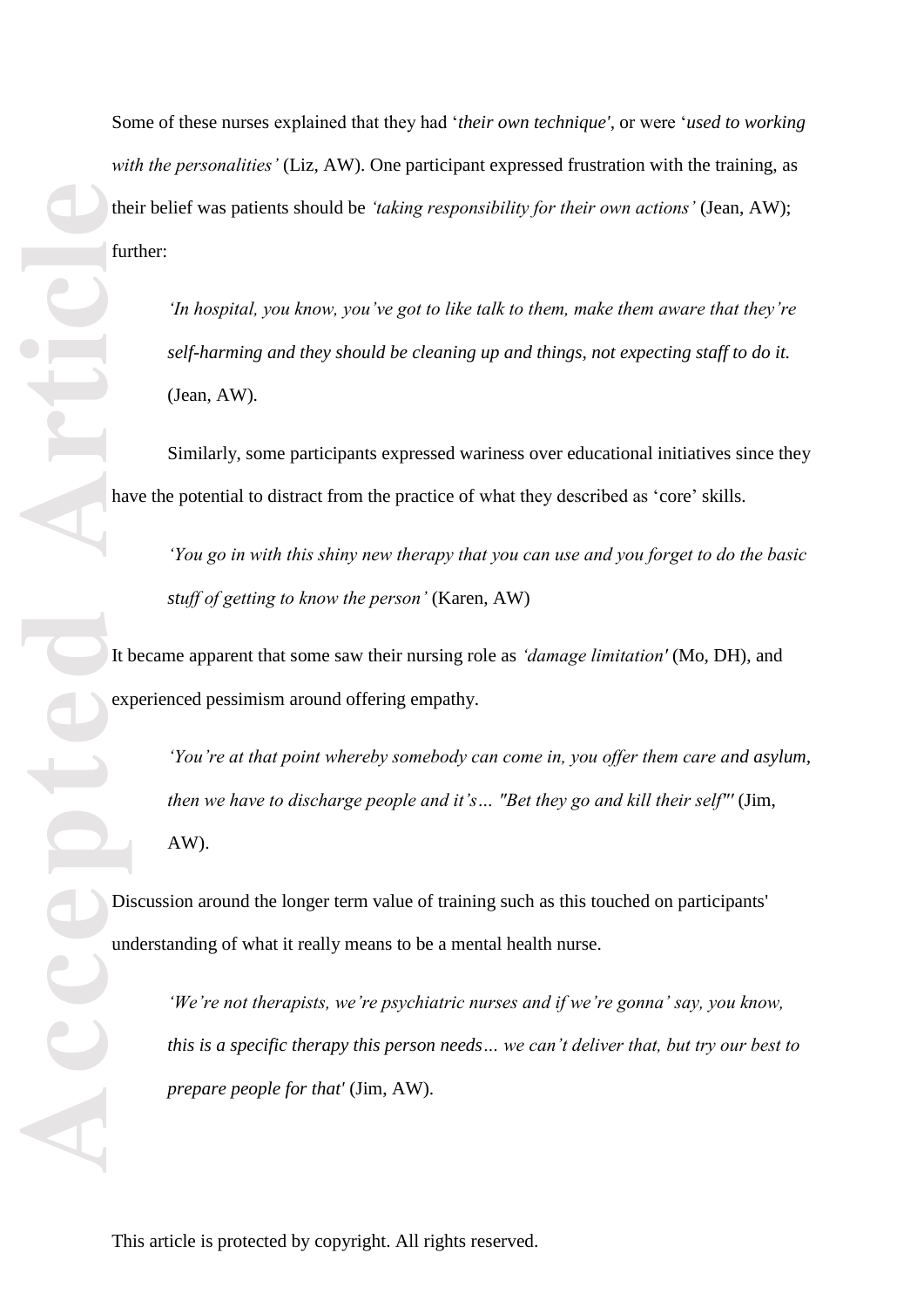Some of these nurses explained that they had '*their own technique',* or were '*used to working with the personalities'* (Liz, AW). One participant expressed frustration with the training, as their belief was patients should be *'taking responsibility for their own actions'* (Jean, AW); further:

*'In hospital, you know, you've got to like talk to them, make them aware that they're self-harming and they should be cleaning up and things, not expecting staff to do it.* (Jean, AW)*.*

Similarly, some participants expressed wariness over educational initiatives since they have the potential to distract from the practice of what they described as 'core ' skills.

*'You go in with this shiny new therapy that you can use and you forget to do the basic stuff of getting to know the person'*  (Karen, AW)

It became apparent that some saw their nursing role as *'damage limitation'*  (Mo, DH), and experienced pessimism around offering empathy.

*'You're at that point whereby somebody can come in, you offer them care and asylum,*  then we have to discharge people and it's... "Bet they go and kill their self"' (Jim, AW).

Discussion around the longer term value of training such as this touched on participants' understanding of what it really means to be a mental health nurse.

*'We're not therapists, we're psychiatric nurses and if we're gonna' say, you know, this is a specific therapy this person needs … we can't deliver that, but try our best to prepare people for that'*  (Jim, AW).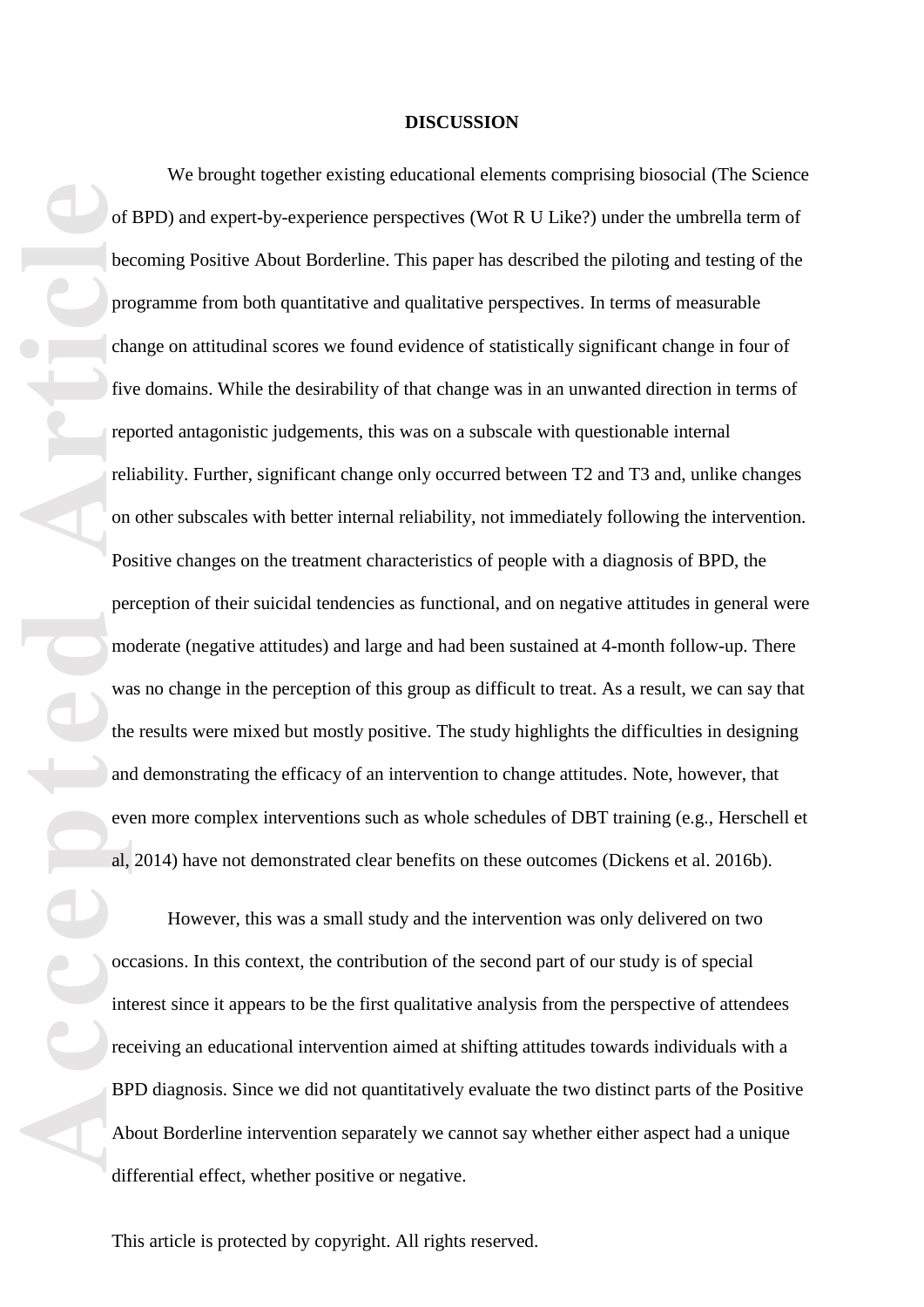of<br>
of<br>
becomes<br>
proces<br>
five proces<br>
five proces<br>
five proces<br>
five proces<br>
and event and event and event and event and event and the<br>
and event and the<br>
and event and the<br>
and event and the<br>
and the<br>
and the<br>
and the<br>
an **DISCUSSION**<br>
We brought together existing educational element<br>
of BPD) and expert-by-experience perspectives (Wot R U<br>
becoming Positive About Borderline. This paper has descrepare from both quantitative and qualitative p We brought together existing educational elements comprising biosocial (The Science of BPD) and expert -by -experience perspectives (Wot R U Like?) under the umbrella term of becoming Positive About Borderline. This paper has described the piloting and testing of the programme from both quantitative and qualitative perspectives. In terms of measurable change on attitudinal scores we found evidence of statistically significant change in four of five domains. While the desirability of that change was in an unwanted direction in terms of reported antagonistic judgements, this was on a subscale with questionable internal reliability. Further, significant change only occurred between T2 and T3 and, unlike changes on other subscales with better internal reliability, not immediately following the intervention. Positive changes on the treatment characteristics of people with a diagnosis of BPD, the perception of their suicidal tendencies as functional, and on negative attitudes in general were moderate (negative attitudes) and large and had been sustained at 4 -month follow -up. There was no change in the perception of this group as difficult to treat. As a result, we can say that the results were mixed but mostly positive. The study highlights the difficulties in designing and demonstrating the efficacy of a n intervention to change attitudes. Note, however, that even more complex interventions such as whole schedules of DBT training (e.g., Herschell et al, 2014) have not demonstrated clear benefits on these outcomes (Dickens et al. 2016b) .

However, this was a small study and the intervention was only delivered on two occasions. In this context, the contribution of the second part of our study is of special interest since it appears to be the first qualitative analysis from the perspective of attendees receiving an educational intervention aimed at shifting attitudes towards individuals with a BPD diagnosis . Since we did not quantitatively evaluate the two distinct part s of the Positive About Borderline intervention separately we cannot say whether either aspect had a unique differential effect, whether positive or negative.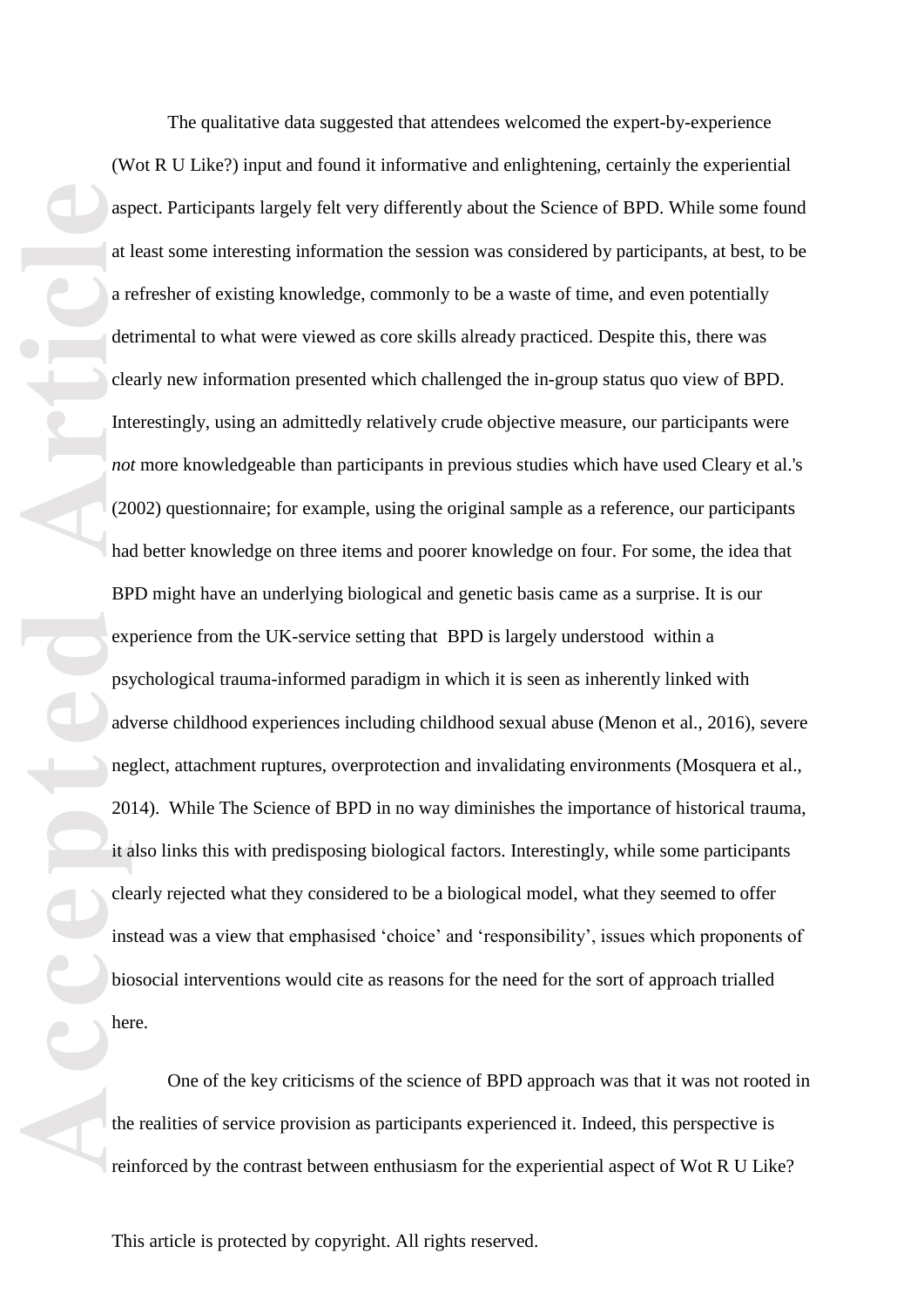ast<br>
article<br>
article<br>
determine<br>
determine<br>
mold (20 had BF exp ps:<br>
ad neg 20 it a<br>
let als bic<br>
herei The qualitative data suggested that attendees welcomed the expert -by -experience (Wot R U Like?) input and found it informative and enlightening, certainly the experiential aspect. Participants largely felt very differently about the Science of BPD. While some found at least some interesting information the session was considered by participants, at best, to be a refresher of existing knowledge, commonly to be a waste of time, and even potentially detrimental to what were viewed as core skills already practiced. Despite this , there was clearly new information presented which challenged the in -group status quo view of BPD. Interestingly, using an admittedly relatively crude objective measure, our participants were *not* more knowledgeable than participants in previous studies which have used Cleary et al.'s (2002) questionnaire; for example, using the original sample as a reference, our participants had better knowledge on three items and poorer knowledge on four . For some, the idea that BPD might have an underlying biological and genetic basis came as a surprise. It is our experience from the UK -service setting that BPD is largely understood within a psychological trauma -informed paradigm in which it is seen as inherently linked with adverse childhood experiences including childhood sexual abuse (Menon et al., 2016), severe neglect, attachment ruptures, overprotection and invalidating environments (Mosquera et al., 2014 ) . While The Science of BPD in no way diminishes the importance of historical trauma, it also links this wit h predisposing biological factors. Interestingly, while some participants clearly rejected what they considered to be a biological model , what they seemed to offer instead was a view that emphasised 'choice' and 'responsibility', issues which proponents of biosocial interventions would cite as reasons for the need for the sort of approach trialled here.

One of the key criticisms of the science of BPD approach was that it was not rooted in the realities of service provision as participants experienced it. Indeed, this perspective is reinforced by the contrast between enthusiasm for the experiential aspect of Wot R U Like?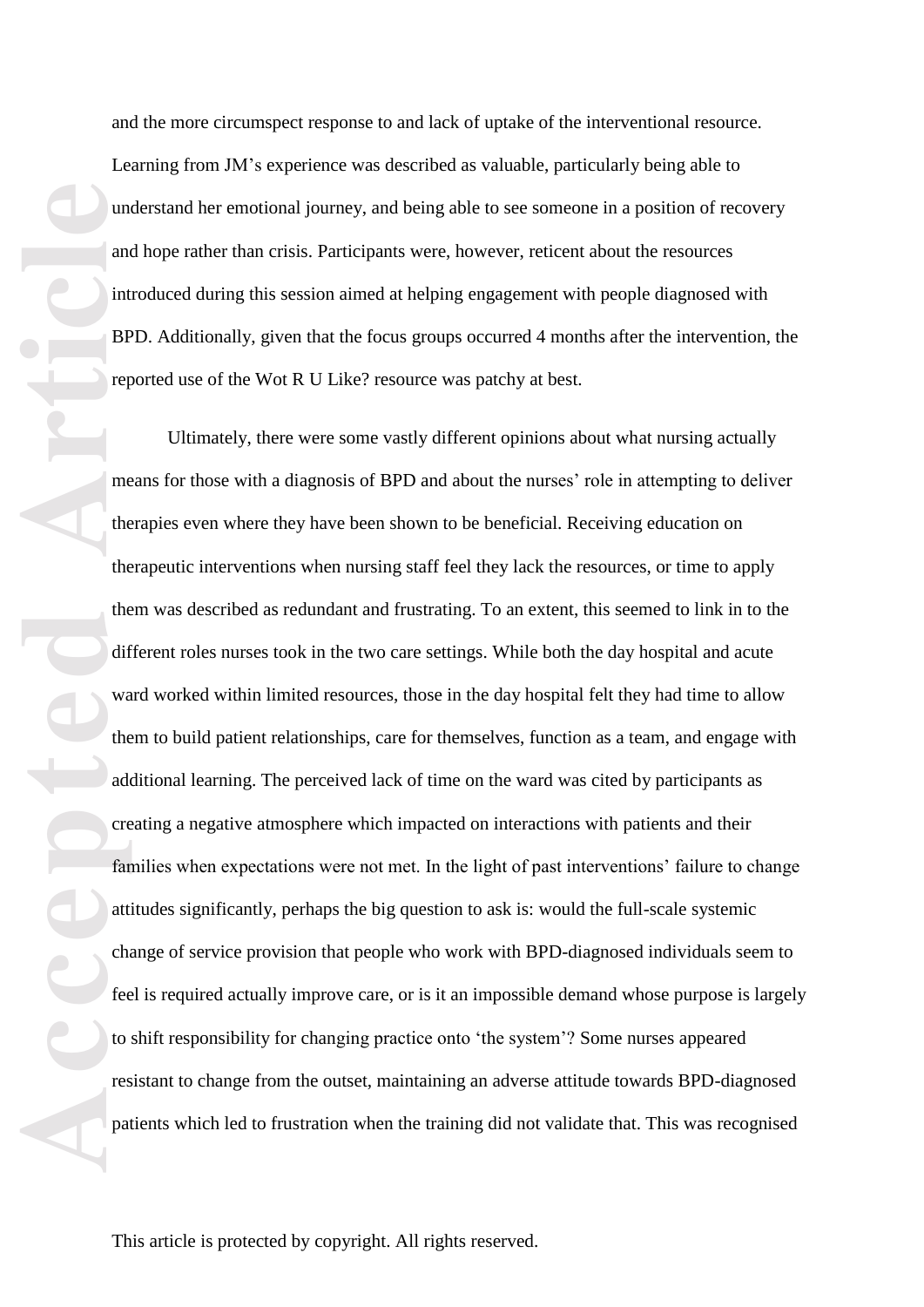and the more circumspect re sponse to and lack of uptake of the interventional resource. Learning from JM's experience was described as valuable, particularly being able to understand her emotional journey, and being able to see someone in a position of recovery and hope rather than crisis. Participants were, however, reticent about the resources introduced during this session aimed at helping engagement with people diagnosed with BPD. Additionally, given that the focus groups occurred 4 months after the intervention, the reported use of the Wot R U Like? resource was patchy at best.

**Accepted Article**<br> **Article**<br> **Article**<br> **Article**<br> **Article**<br> **Article**<br> **Article**<br> **Article**<br> **Article**<br> **Article**<br> **Article**<br> **Article**<br> **Article**<br> **Article**<br> **Article**<br> **Article**<br> **Article**<br> **Article**<br> **Article**<br> **A** Ultimately, there were some vastly different opinions about what nursing actually means for those with a diagnosis of BPD and about the nurses' role in attempting to deliver therapies even where they have been shown to be beneficial. Receiving education on therapeutic interventions when nursing staff feel they lack the resources, or time to apply them was described as redundant and frustrating. To an extent, this seemed to link in to the different roles nurses took in the two care settings. While both the day hospital and acute ward worked within limited resources, those in the day hospital felt they had time to allow them to build patient relationships, care for themselves, function as a team, and engage with additional learning. The perceived lack of time on the ward was cited by participants as creating a negative atmosphere which impacted on interactions with patients and their families when expectations were not met. In the light of past interventions' failure to change attitudes significantly, perhaps the big question to ask is: would the full -scale systemic change of service provision that people who work with BPD -diagnosed individuals seem to feel is required actually improve care, or is it an impossible demand whose purpose is largely to shift responsibility for changing practice onto 'the system'? Some nurses appeared resistant to change from the outset, maintaining an adverse attitude towards BPD -diagnosed patients which led to frustration when the training did not validate that. This was recognised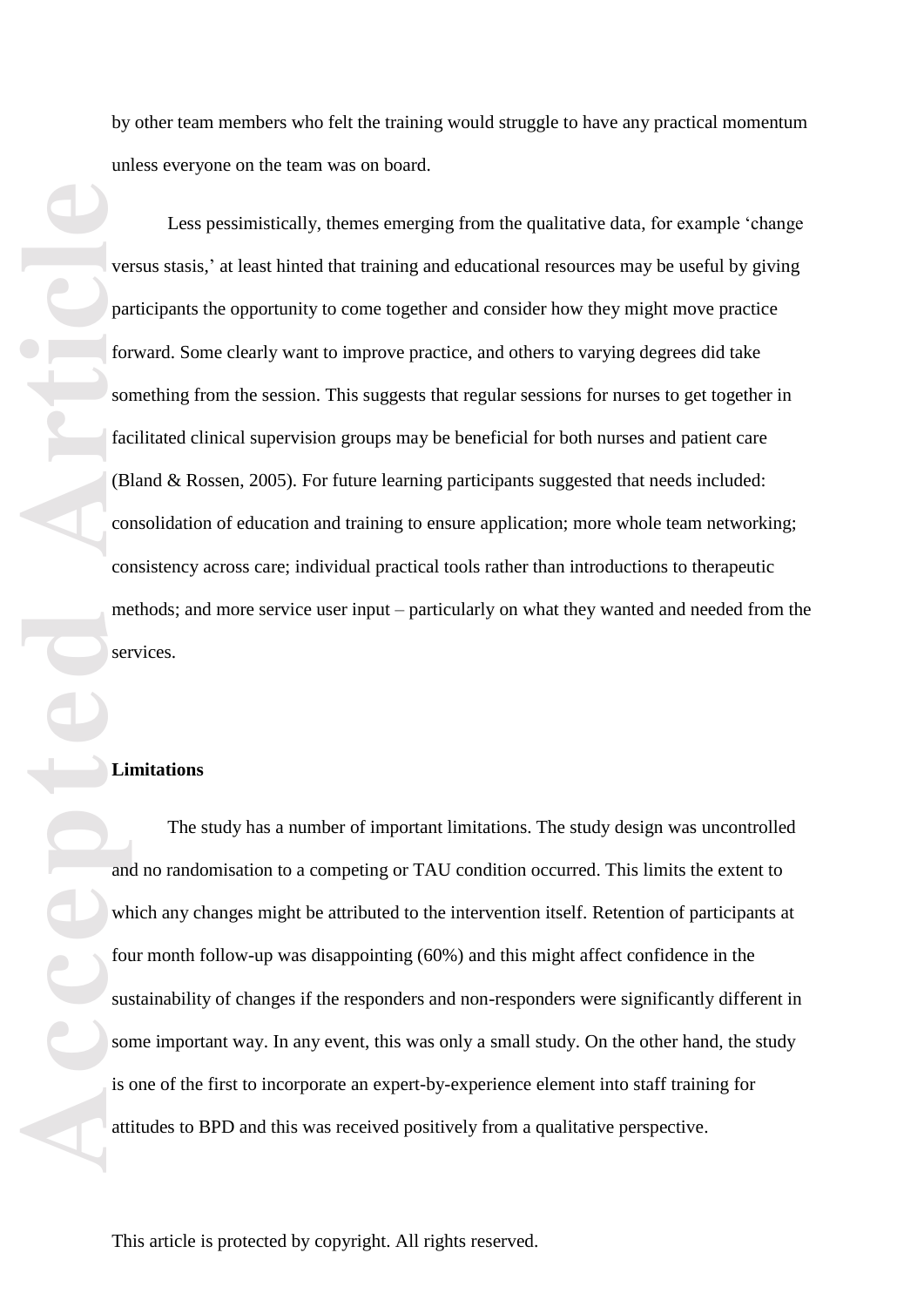by other team members who felt the training would struggle to have any practical momentum unless everyone on the team was on board.

Less pessimistically, themes emerging from the qualitative data , for example 'change versus stasis ,' at least hinted that training and educational resources may be useful by giving participants the opportunity to come together and consider how they might move practice forward . Some clearly want to improve practice , and others to varying degrees did take something from the session . This suggests that regular sessions for nurses to get together in facilitated clinical supervision groups may be beneficial for both nurses and patient care (Bland & Rossen, 2005 ). For future learning participants suggested that needs included: consolidation of education and training to ensure application; more whole team networking; consistency across care; individual practical tools rather than introductions to therapeutic methods; and more service user input – particularly on what they wanted and needed from the services.

#### **Limitations**

**Accepted Articles Contained and Widel Contained Script Contained and Widel Contained Script Contained and Widel Script Contained and Widel Script Contained and Widel Script Contained and Widel Script Contained and Widel** The study has a number of important limitations. The study design was uncontrolled and no randomisation to a competing or TAU condition occurred. Thi s limits the extent to which any changes might be attributed to the intervention itself. Retention of participants at four month follow -up was disappointing (60%) and this might affect confidence in the sustainability of changes if the responders and non -responders were significantly different in some important way. In any event , this was only a small study. On the other hand, the study is one of the first to incorporate an expert -by -experience element into staff training for attitudes to BPD and this was rec eived positively from a qualitative perspective .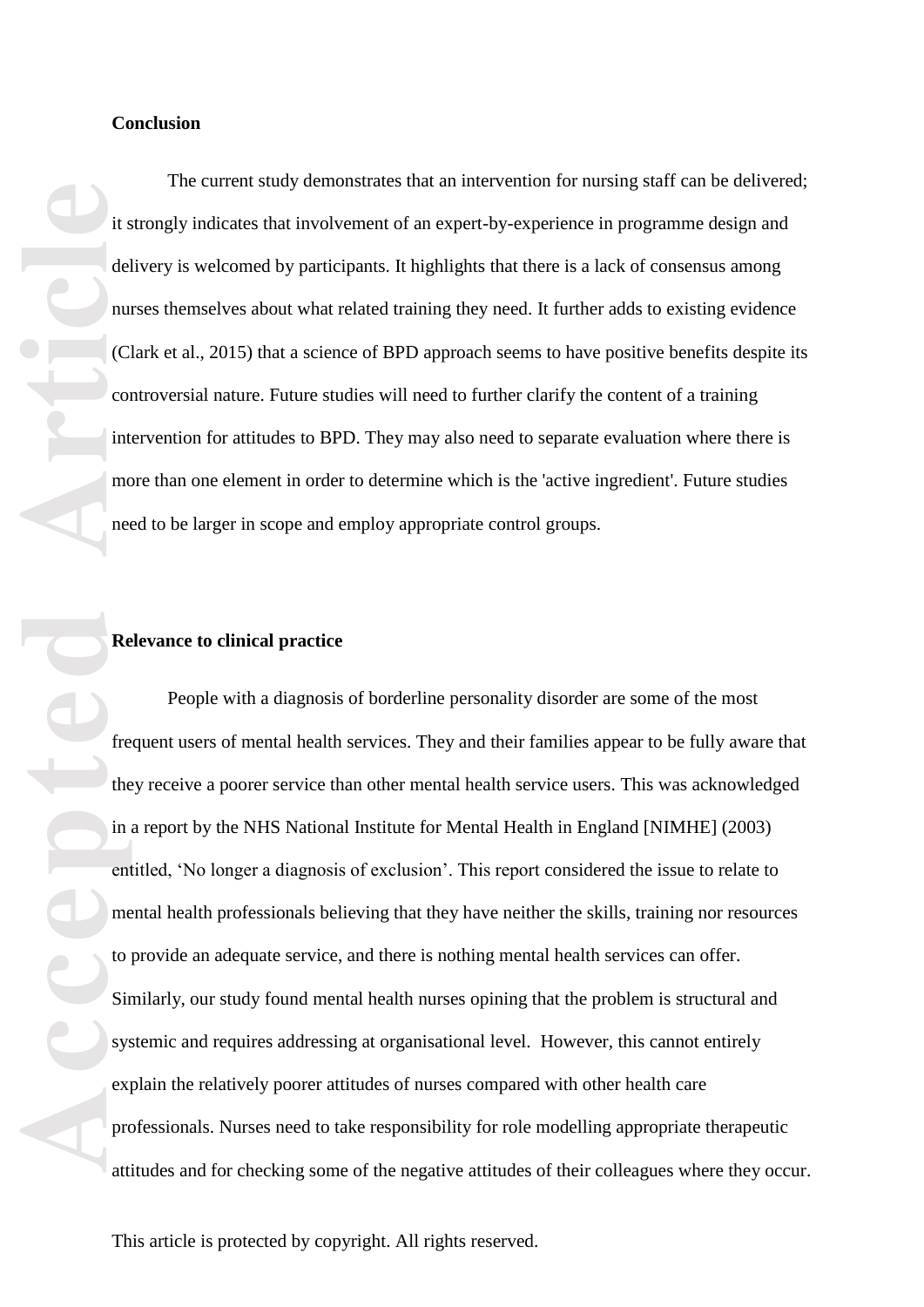The current study demonstrates that an intervention for nursing staff can be delivered; it strongly indicates that involvement of an expert -by -experience in programme design and delivery is welcomed by participants. It highlights that there is a lack of consensus among nurses themselves about what related training they need. It further adds to existing evidence (Clark et al., 2015) that a science of BPD approach seems to have positive benefits despite its controversial nature . Future studies will need to further clarify the content of a training intervention for attitudes to BPD. They may also need to separate evaluation where there is more than one element in order to determine which is the 'active ingredient'. Future studies need to be larger in scope and employ appropriate control groups.

### **Relevance to clinical practice**

**Accepted Article** People with a diagnosis of borderline personality disorder are some of the most frequent users of mental health services. They and their families appear to be fully aware that they receive a poorer service than other mental health service users. This was acknowledged in a report by the NHS National Institute for Mental Health in England [NIMHE] (2003) entitled, 'No longer a diagnosis of exclusion'. This report considered the issue to relate to mental health professionals believing that they have neither the skills, training nor resources to provide an adequate service, and there is nothing mental health services can offer. Similarly, our study found mental health nurses opining that the problem is structural and systemic and requires addressing at organisational level. However, this cannot entirely explain the relatively poorer attitudes of nurses compared with other health care professionals. Nurses need to take responsibility for role modelling appropriate therapeutic attitudes and for checking some of the negative attitudes of their colleagues where they occur.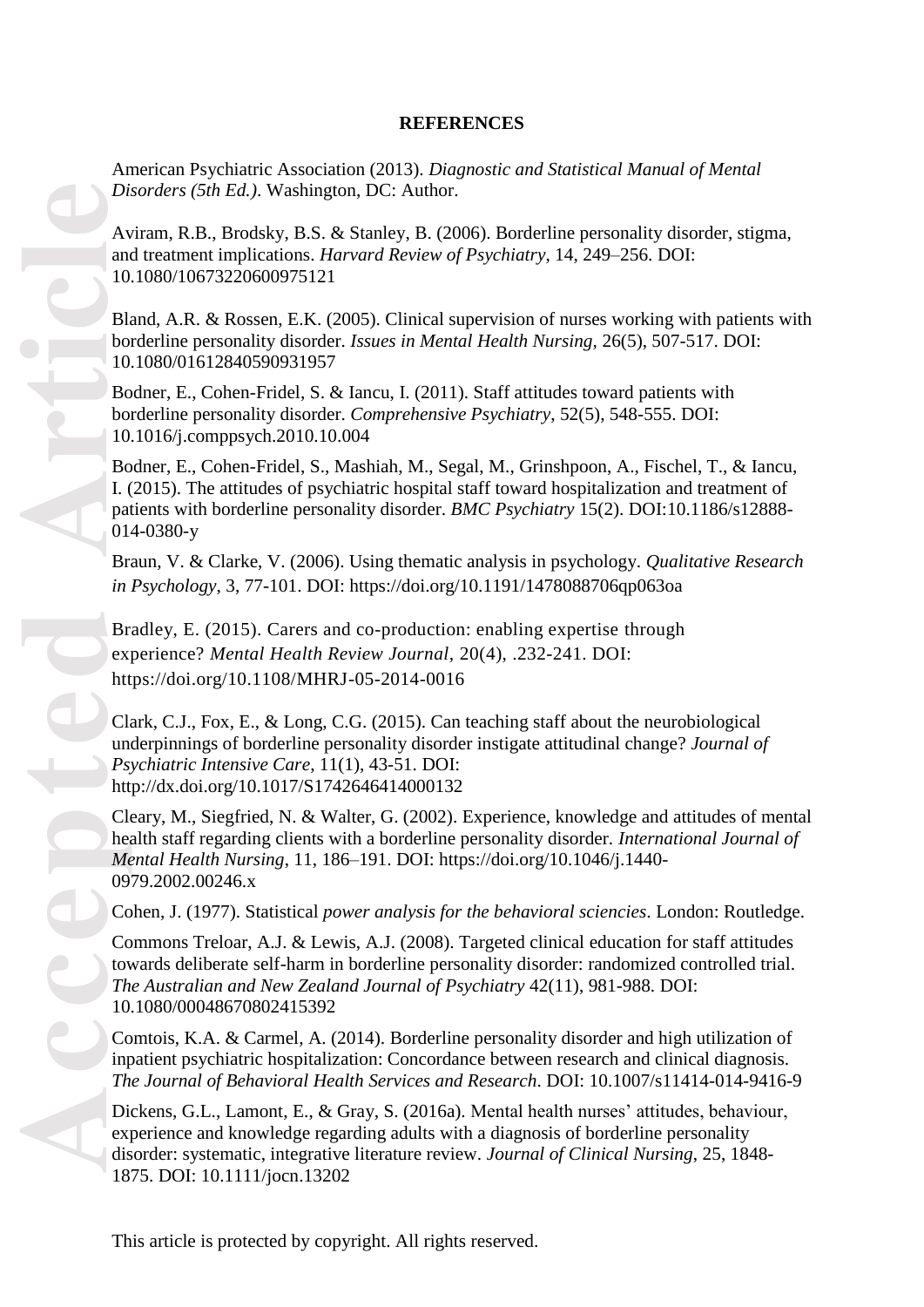# **REFERENCES**

American Psychiatric Association (2013). *Diagnostic and Statistical Manual of Mental Disorders (5th Ed.)*. Washington, DC: Author.

Aviram, R.B., Brodsky, B.S. & Stanley, B. (2006). Borderline personality disorder, stigma, and treatment implications. *Harvard Review of Psychiatry* , 14, 249 –256. DOI: 10.1080/10673220600975121

Bland, A.R. & Rossen, E.K. (2005). Clinical supervision of nurses working with patients with borderline personality disorder. *Issues in Mental Health Nursing,* 26(5), 507 -517. DOI: 10.1080/01612840590931957

Bodner, E., Cohen-Fridel, S. & Iancu, I. (2011). Staff attitudes toward patients with borderline personality disorder. *Comprehensive Psychiatry*, 52(5), 548 -555. DOI: 10.1016/j.comppsych.2010.10.004

Bodner, E., Cohen -Fridel, S., Mashiah, M., Segal, M., Grinshpoon, A., Fischel, T., & Iancu, I. (2015). The attitudes of psychiatric hospital staff toward hospitalization and treatment of patients with borderline personality disorder. *BMC Psychiatry* 15(2). DOI:10.1186/s12888 - 014-0380-y

Braun, V. & Clarke, V. (2006). Using thematic analysis in psychology. *Qualitative Research in Psychology*, 3, 77 -101. DOI: https://doi.org/10.1191/1478088706qp063oa

Bradley, E. (2015). Carers and co -production: enabling expertise through experience? *Mental Health Review Journal,* 20( 4), .232 -241. DOI: https://doi.org/10.1108/MHRJ -05 -2014 -0016

Clark, C.J., Fox, E., & Long, C.G. (2015). Can teaching staff about the neurobiological underpinnings of borderline personality disorder instigate attitudinal change? *Journal of Psychiatric Intensive Care*, 11(1), 43 -51. DOI: http://dx.doi.org/10.1017/S1742646414000132

Cleary, M., Siegfried, N. & Walter, G. (2002). Experience, knowledge and attitudes of mental health staff regarding clients with a borderline personality disorder. *International Journal of Mental Health Nursing* , 11, 186 –191. DOI: https://doi.org/10.1046/j.1440 - 0979.2002.00246.x

Cohen, J. (1977). Statistical *power analysis for the behavioral sciencies*. London: Routledge.

Commons Treloar, A.J. & Lewis, A.J. (2008). Targeted clinical education for staff attitudes towards deliberate self -harm in borderline personality disorder: randomized controlled trial. *The Australian and New Zealand Journal of Psychiatry* 42(11), 981 -988. DOI: 10.1080/00048670802415392

Comtois, K.A. & Carmel, A. (2014). Borderline personality disorder and high utilization of inpatient psychiatric hospitalization: Concordance between research and clinical diagnosis. The Journal of Behavioral Health Services and Research. DOI: 10.1007/s11414-014-9416-9

Dickens, G.L., Lamont, E., & Gray, S. (2016a). Mental health nurses' attitudes, behaviour, experience and knowledge regarding adults with a diagnosis of borderline personality disorder: systematic, integrative literature review. *Journal of Clinical Nursing*, 25, 1848 - 1875. DOI: 10.1111/jocn.13202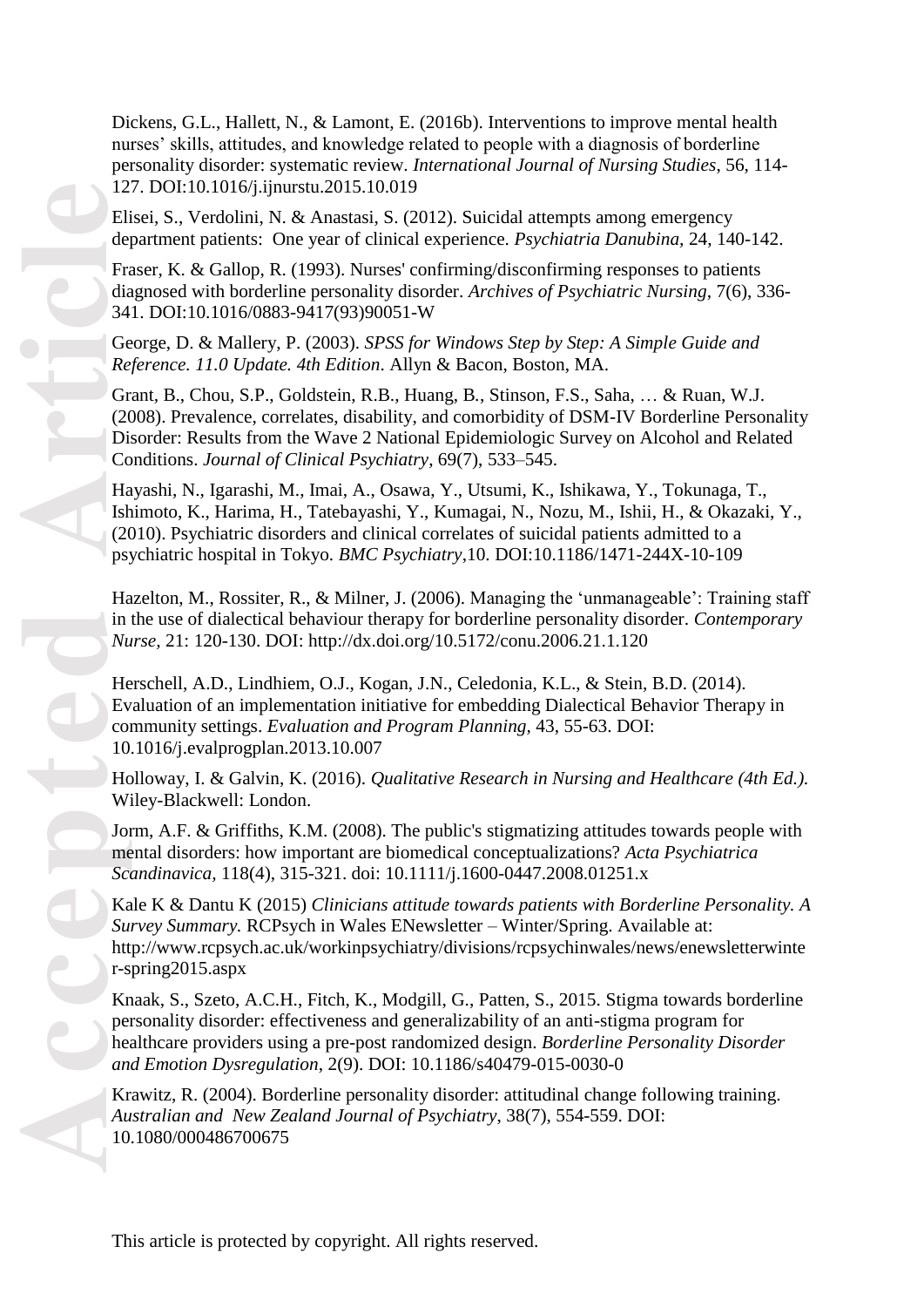Dickens, G.L., Hallett, N., & Lamont, E. (2016b). Interventions to improve mental health nurses' skills, attitudes, and knowledge related to people with a diagnosis of borderline personality disorder: systematic review. International Journal of Nursing Studies, 56, 114-127. DOI:10.1016/j.ijnurstu.2015.10.019

Elisei, S., Verdolini, N. & Anastasi, S. (2012). Suicidal attempts among emergency department patients: One year of clinical experience. *Psychiatria Danubina,* 24, 140 -142.

Fraser, K. & Gallop, R. (1993). Nurses' confirming/disconfirming responses to patients diagnosed with borderline personality disorder. *Archives of Psychiatric Nursing*, 7(6), 336 - 341. DOI:10.1016/0883 -9417(93)90051 - W

George, D. & Mallery, P. (2003). *SPSS for Windows Step by Step: A Simple Guide and Reference. 11.0 Update. 4th Edition*. Allyn & Bacon, Boston, MA.

Grant, B., Chou, S.P., Goldstein, R.B., Huang, B., Stinson, F.S., Saha, ... & Ruan, W.J. (2008). Prevalence, correlates, disability, and comorbidity of DSM -IV Borderline Personality Disorder: Results from the Wave 2 National Epidemiologic Survey on Alcohol and Related Conditions. *Journal of Clinical Psychiatry*, 69(7), 533 –545.

Hayashi, N., Igarashi, M., Imai, A., Osawa, Y., Utsumi, K., Ishikawa, Y., Tokunaga, T., Ishimoto, K., Harima, H., Tatebayashi, Y., Kumagai, N., Nozu, M., Ishii, H., & Okazaki, Y., (2010). Psychiatric disorders and clinical correlates of suicidal patients admitted to a psychiatric hospital in Tokyo. *BMC Psychiatry*,10. DOI:10.1186/1471 -244X -10 -109

Hazelton, M., Rossiter, R., & Milner, J. (2006). Managing the 'unmanageable': Training staff in the use of dialectical behaviour therapy for borderline personality disorder. *Contemporary Nurse,* 21: 120 -130. DOI: http://dx.doi.org/10.5172/conu.2006.21.1.120

Herschell, A.D., Lindhiem, O.J., Kogan, J.N., Celedonia, K.L., & Stein, B.D. (2014). Evaluation of an implementation initiative for embedding Dialectical Behavior Therapy in community settings. *Evaluation and Program Planning,* 43, 55 -63. DOI: 10.1016/j.evalprogplan.2013.10.007

Holloway, I. & Galvin, K. (2016). *Qualitative Research in Nursing and Healthcare (4th Ed.).*  Wiley -Blackwell: London.

Jorm, A.F. & Griffiths, K.M. (2008). The public's stigmatizing attitudes towards people with mental disorders: how important are biomedical conceptualizations? *Acta Psychiatrica Scandinavica,* 118(4), 315 -321. doi: 10.1111/j.1600 -0447.2008.01251.x

Kale K & Dantu K (2015) *Clinicians attitude towards patients with Borderline Personality. A Survey Summary.* RCPsych in Wales ENewsletter – Winter/Spring. Available at: http://www.rcpsych.ac.uk/workinpsychiatry/divisions/rcpsychinwales/news/enewsletterwinte r-spring2015.aspx

Knaak, S., Szeto, A.C.H., Fitch, K., Modgill, G., Patten, S., 2015. Stigma towards borderline personality disorder: effectiveness and generalizability of an anti -stigma program for healthcare providers using a pre -post randomized design . *Borderline Personality Disorder*  and Emotion Dysregulation, 2(9). DOI: 10.1186/s40479-015-0030-0

Krawitz, R. (2004). Borderline personality disorder: attitudinal change following training. *Australian and New Zealand Journal of Psychiatry*, 38(7), 554 -559. DOI: 10.1080/000486700675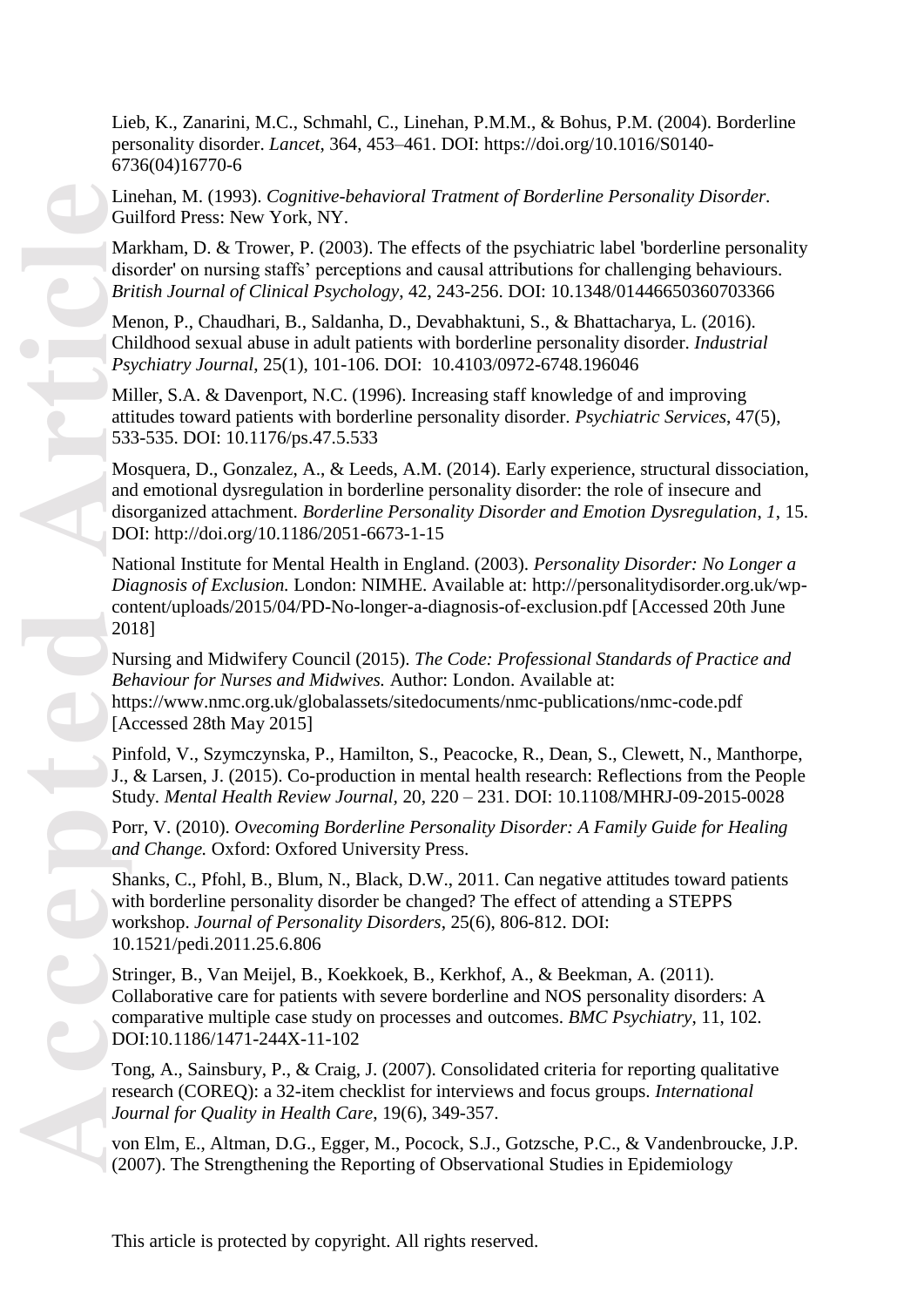Lieb, K., Zanarini, M.C., Schmahl, C., Linehan, P.M.M., & Bohus, P.M. (2004). Borderline personality disorder. *Lancet*, 364, 453-461. DOI: https://doi.org/10.1016/S0140-6736(04)16770 - 6

Linehan, M. (1993). *Cognitive-behavioral Tratment of Borderline Personality Disorder.* Guilford Press: New York, NY.

Markham, D. & Trower, P. (2003). The effects of the psychiatric label 'borderline personality disorder' on nursing staffs' perceptions and causal attributions for challenging behaviours. *British Journal of Clinical Psychology*, 42, 243 -256. DOI: 10.1348/01446650360703366

Menon, P., Chaudhari, B., Saldanha, D., Devabhaktuni, S., & Bhattacharya, L. (2016). Childhood sexual abuse in adult patients with borderline personality disorder. *Industrial Psychiatry Journal*, 25(1), 101 -106. DOI: 10.4103/0972 -6748.196046

Miller, S.A. & Davenport, N.C. (1996). Increasing staff knowledge of and improving attitudes toward patients with borderline personality disorder. *Psychiatric Services* , 47(5), 533 -535. DOI: 10.1176/ps.47.5.533

Mosquera, D., Gonzalez, A., & Leeds, A.M. (2014). Early experience, structural dissociation, and emotional dysregulation in borderline personality disorder: the role of insecure and disorganized attachment . *Borderline Personality Disorder and Emotion Dysregulation* , *1*, 15. DOI: http://doi.org/10.1186/2051-6673-1-15

National Institute for Mental Health in England. (2003). *Personality Disorder: No Longer a*  Diagnosis of Exclusion. London: NIMHE. Available at: http://personalitydisorder.org.uk/wpcontent/uploads/2015/04/PD -No -longer - a -diagnosis -of-exclusion.pdf [Accessed 20th June 2018]

Nursing and Midwifery Council (2015). *The Code: Professional Standards of Practice and Behaviour for Nurses and Midwives.* Author: London. Available at: https://www.nmc.org.uk/globalassets/sitedocuments/nmc -publications/nmc -code.pdf [Accessed 28th May 2015]

Pinfold, V., Szymczynska, P., Hamilton, S., Peacocke, R., Dean, S., Clewett, N., Manthorpe, J., & Larsen, J. (2015). Co-production in mental health research: Reflections from the People Study. Mental Health Review Journal, 20, 220 - 231. DOI: 10.1108/MHRJ-09-2015-0028

Porr, V. (2010). *Ovecoming Borderline Personality Disorder: A Family Guide for Healing and Change.* Oxford: Oxfored University Press.

Shanks, C., Pfohl, B., Blum, N., Black, D.W., 2011. Can negative attitudes toward patients with borderline personality disorder be changed? The effect of attending a STEPPS workshop. *Journal of Personality Disorders*, 25(6), 806 -812. DOI: 10.1521/pedi.2011.25.6.806

Stringer, B., Van Meijel, B., Koekkoek, B., Kerkhof, A., & Beekman, A. (2011). Collaborative care for patients with severe borderline and NOS personality disorders: A comparative multiple case study on processes and outcomes. *BMC Psychiatry*, 11, 102. DOI:10.1186/1471 -244X -11 -102

Tong, A., Sainsbury, P., & Craig, J. (2007). Consolidated criteria for reporting qualitative research (COREQ): a 32 -item checklist for interviews and focus groups. *International Journal for Quality in Health Care*, 19(6), 349 -357.

von Elm, E., Altman, D.G., Egger, M., Pocock, S.J., Gotzsche, P.C., & Vandenbroucke, J.P. (2007). The Strengthening the Reporting of Observational Studies in Epidemiology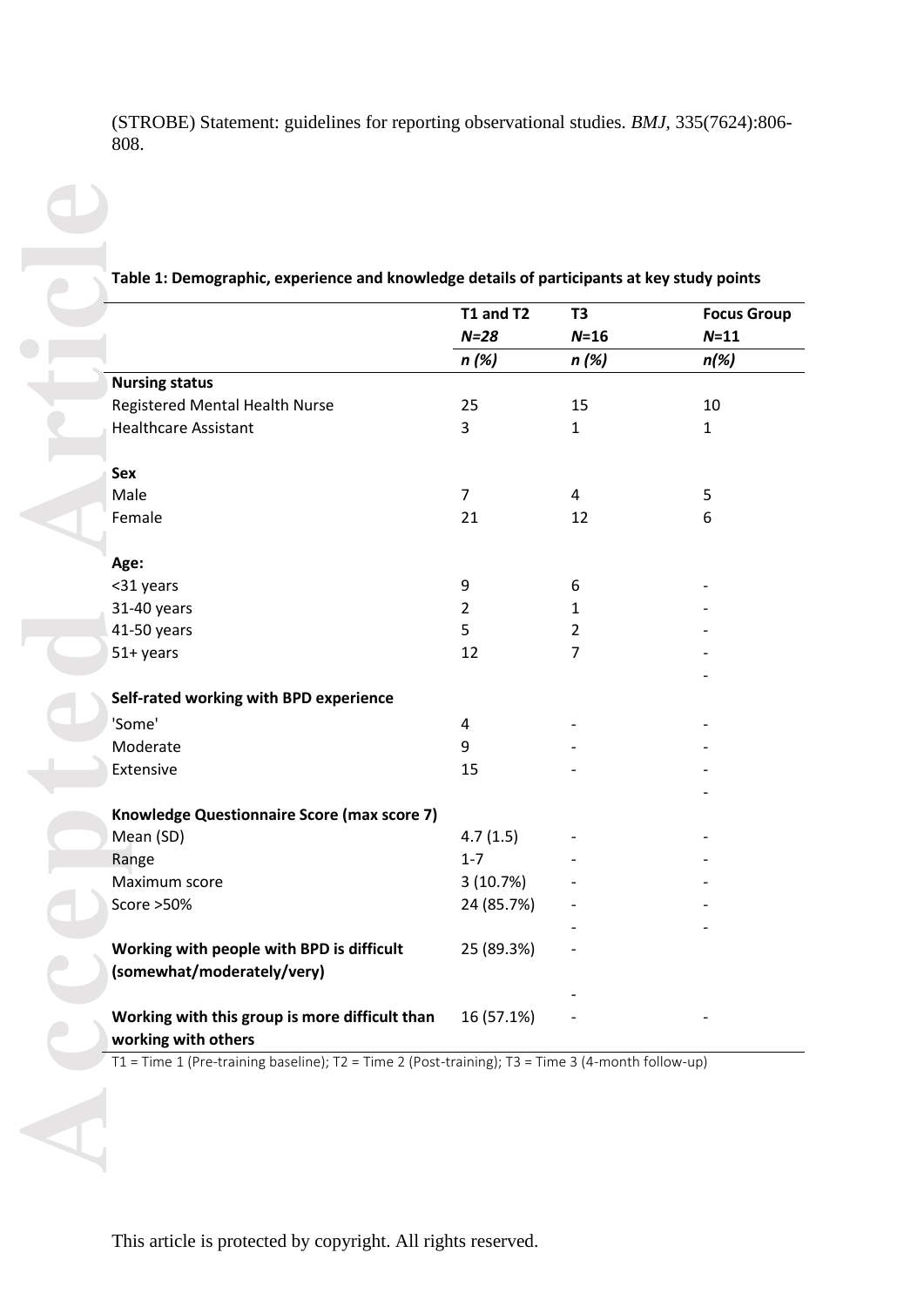(STROBE) Statement: guidelines for reporting observational studies. *BMJ*, 335(7624):806 - 808.

### **Table 1: Demographic, experience and knowledge details of participants at key study points**

|                                                                                                   | T1 and T2<br>$N=28$ | T <sub>3</sub><br>$N=16$ | <b>Focus Group</b><br>$N=11$ |
|---------------------------------------------------------------------------------------------------|---------------------|--------------------------|------------------------------|
|                                                                                                   | n(%)                | $n$ (%)                  | $n(\%)$                      |
| <b>Nursing status</b>                                                                             |                     |                          |                              |
| Registered Mental Health Nurse                                                                    | 25                  | 15                       | 10                           |
| <b>Healthcare Assistant</b>                                                                       | 3                   | $\mathbf{1}$             | $\mathbf{1}$                 |
| <b>Sex</b>                                                                                        |                     |                          |                              |
| Male                                                                                              | $\overline{7}$      | 4                        | 5                            |
| Female                                                                                            | 21                  | 12                       | 6                            |
| Age:                                                                                              |                     |                          |                              |
| <31 years                                                                                         | 9                   | 6                        |                              |
| 31-40 years                                                                                       | $\overline{2}$      | 1                        |                              |
| 41-50 years                                                                                       | 5                   | $\overline{2}$           |                              |
| 51+ years                                                                                         | 12                  | $\overline{7}$           |                              |
| Self-rated working with BPD experience                                                            |                     |                          |                              |
| 'Some'                                                                                            | $\pmb{4}$           |                          |                              |
| Moderate                                                                                          | 9                   |                          |                              |
|                                                                                                   |                     |                          |                              |
| Extensive                                                                                         | 15                  |                          |                              |
| Knowledge Questionnaire Score (max score 7)                                                       |                     |                          |                              |
| Mean (SD)                                                                                         | 4.7(1.5)            |                          |                              |
| Range                                                                                             | $1 - 7$             |                          |                              |
| Maximum score                                                                                     | 3(10.7%)            |                          |                              |
| Score > 50%                                                                                       | 24 (85.7%)          |                          |                              |
|                                                                                                   |                     |                          |                              |
| Working with people with BPD is difficult                                                         | 25 (89.3%)          |                          |                              |
| (somewhat/moderately/very)                                                                        |                     |                          |                              |
|                                                                                                   |                     |                          |                              |
| Working with this group is more difficult than                                                    | 16 (57.1%)          |                          |                              |
| working with others                                                                               |                     |                          |                              |
| T1 = Time 1 (Pre-training baseline); T2 = Time 2 (Post-training); T3 = Time 3 (4-month follow-up) |                     |                          |                              |